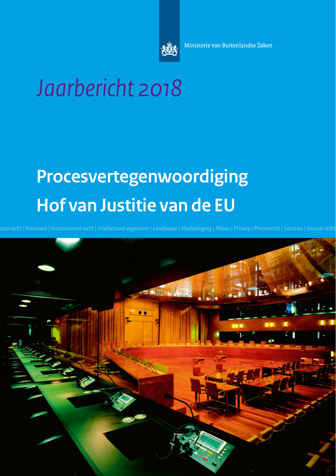

Ministerie van Buitenlandse Zaken

# *Jaarbericht 2018*

# **Procesvertegenwoordiging Hof van Justitie van de EU**

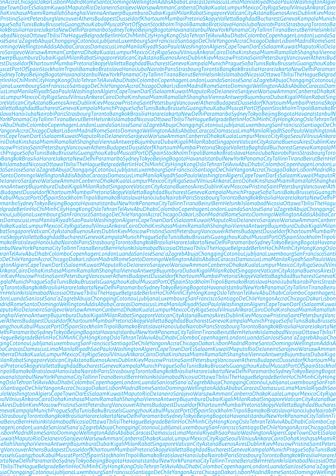*ngonAccraChicagoDakarLisbonMadridRomeSantoDomingoWellingtonAddisAbabaCaracasDamascusLimaManilaRiyadhSaoPauloWashingtonAlgier sCapeTownDarEsSalaamKuwaitMaputoRioDeJaneiroSarajevoWarsawAmmanCanberraDhakaKualaLumpurMexicoCityRigaSeoulVilniusAnkaraCairo DohaKinshasaMiamiRamallahShanghaiViennaAntwerpBujumburaDubaiKigaliMilanRabatSingaporeVaticanCityAstanaBuenosAiresDublinKievMosc owPristinaSaintPetersburgVancouverAthensBudapestDusseldorfKhartoumMumbaiPretoriaSkopjeVallettaBaghdadBucharestGenevaKampalaMunich PragueSofiaTunisBakuBrusselsGuangzhouKabulMuscatPortOfSpainStockholmTripoliBamakoBratislavaHanoiJubaNairobiParisStrasbourgTorontoBa ngkokBrasiliaHarareJakartaNewDelhiParamariboSydneyTokyoBeijingBogotaHavanaIstanbulNewYorkPanamaCityTallinnTiranaBeirutBernHelsinkiIsl amabadNicosiaOttawaTbilisiTheHagueBelgradeBerlinHoChiMinhCityHongKongOsloTehranTelAvivAbuDhabiColomboCopenhagenLondonLuandaSa nJoséSana'aZagrebAbujaChongqingCotonouLjubljanaLuxembourgSanFranciscoSantiagoDeChileYangonAccraChicagoDakarLisbonMadridRomeSant oDomingoWellingtonAddisAbabaCaracasDamascusLimaManilaRiyadhSaoPauloWashingtonAlgiersCapeTownDarEsSalaamKuwaitMaputoRioDeJa neiroSarajevoWarsawAmmanCanberraDhakaKualaLumpurMexicoCityRigaSeoulVilniusAnkaraCairoDohaKinshasaMiamiRamallahShanghaiVienna AntwerpBujumburaDubaiKigaliMilanRabatSingaporeVaticanCityAstanaBuenosAiresDublinKievMoscowPristinaSaintPetersburgVancouverAthensBud eldorfKhartoumMumbaiPretoriaSkopjeVallettaBaghdadBucharestGenevaKampalaMunichPragueSofiaTunisBakuBru*<br>vrtOfSpainStockholmTripoliBamakoBratislavaHanoiJubaNairobiParisStrasbouraTorontoBanakokBrasiliaHarareJakaı *lMuscatPortOfSpainStockholmTripoliBamakoBratislavaHanoiJubaNairobiParisStrasbourgTorontoBangkokBrasiliaHarareJakartaNewDelhiParamari boSydneyTokyoBeijingBogotaHavanaIstanbulNewYorkPanamaCityTallinnTiranaBeirutBernHelsinkiIslamabadNicosiaOttawaTbilisiTheHagueBelgrad eBerlinHoChiMinhCityHongKongOsloTehranTelAvivAbuDhabiColomboCopenhagenLondonLuandaSanJoséSana'aZagrebAbujaChongqingCotonouLj* nbourgSanFranciscoSantiagoDeChileYangonAccraChicagoDakarLisbonMadridRomeSantoDomingoWe<br>anilaRiyadhSaoPauloWashingtonAlgiersCapeTownDarEsSalaamKuwaitMaputoRioDeJaneiroSarajevo\ *ascusLimaManilaRiyadhSaoPauloWashingtonAlgiersCapeTownDarEsSalaamKuwaitMaputoRioDeJaneiroSarajevoWarsawAmmanCanberraDhakaK ualaLumpurMexicoCityRigaSeoulVilniusAnkaraCairoDohaKinshasaMiamiRamallahShanghaiViennaAntwerpBujumburaDubaiKigaliMilanRabatSing* AstanaBuenosAiresDublinKievMoscowPristinaSaintPetersburgVancouve<br>dBucharestGenevaKampalaMunichPragueSofiaTunisBakuBrusselsGuar *jeVallettaBaghdadBucharestGenevaKampalaMunichPragueSofiaTunisBakuBrusselsGuangzhouKabulMuscatPortOfSpainStockholmTripoliBamakoBr atislavaHanoiJubaNairobiParisStrasbourgTorontoBangkokBrasiliaHarareJakartaNewDelhiParamariboSydneyTokyoBeijingBogotaHavanaIstanbulN ewYorkPanamaCityTallinnTiranaBeirutBernHelsinkiIslamabadNicosiaOttawaTbilisiTheHagueBelgradeBerlinHoChiMinhCityHongKongOsloTehranTel AvivAbuDhabiColomboCopenhagenLondonLuandaSanJoséSana'aZagrebAbujaChongqingCotonouLjubljanaLuxembourgSanFranciscoSantiagoDeCh* AccraChicagoDakarLisbonMadridRomeSantoDomingoWellingtonAddisAbabaCaracasDamascusLimaMani<br>:TownDarEsSalaamKuwaitMaputoRioDeJaneiroSaraievoWarsawAmmanCanberraDhakaKualaLumpurMe wnDarEsSalaamKuwaitMaputoRioDeJaneiroSarajevoWars̃awAmmanCanberraDhakaKualaLumpurMexicoCityRigaSeoul\<br>nshasaMiamiRamallahShanghaiViennaAntwerpBujumburaDubaiKigaliMilanRabatSingaporeVaticanCityAstanaBuenosAii *CairoDohaKinshasaMiamiRamallahShanghaiViennaAntwerpBujumburaDubaiKigaliMilanRabatSingaporeVaticanCityAstanaBuenosAiresDublinKiev MoscowPristinaSaintPetersburgVancouverAthensBudapestDusseldorfKhartoumMumbaiPretoriaSkopjeVallettaBaghdadBucharestGenevaKampalaM unichPragueSofiaTunisBakuBrusselsGuangzhouKabulMuscatPortOfSpainStockholmTripoliBamakoBratislavaHanoiJubaNairobiParisStrasbourgToro* BrasiliaHarareJakartaNewDelhiParamariboSydneyTokyoBeijingBogotaHavanaIstanbu<br>adNicosiaOttawaTbilisiTheHaaueBelaradeBerlinHoChiMinhCityHonaKonaOsloTehran *sinkiIslamabadNicosiaOttawaTbilisiTheHagueBelgradeBerlinHoChiMinhCityHongKongOsloTehranTelAvivAbuDhabiColomboCopenhagenLondonLu andaSanJoséSana'aZagrebAbujaChongqingCotonouLjubljanaLuxembourgSanFranciscoSantiagoDeChileYangonAccraChicagoDakarLisbonMadridRo meSantoDomingoWellingtonAddisAbabaCaracasDamascusLimaManilaRiyadhSaoPauloWashingtonAlgiersCapeTownDarEsSalaamKuwaitMaputoR* evoWarsawAmmanCanberraDhakaKualaLumpurMexicoCityRigaSeoulVilniusAnkaraCairoDohaKinshasaMiamiRc<br>ujumburaDubaiKiaaliMilanRabatSinaaporeVaticanCityAstanaBuenosAiresDublinKievMoscowPristinaSaintPetersbı *ViennaAntwerpBujumburaDubaiKigaliMilanRabatSingaporeVaticanCityAstanaBuenosAiresDublinKievMoscowPristinaSaintPetersburgVancouverAth ensBudapestDusseldorfKhartoumMumbaiPretoriaSkopjeVallettaBaghdadBucharestGenevaKampalaMunichPragueSofiaTunisBakuBrusselsGuangzh* PortOfSpainStockholmTripoliBamakoBratislavaHanoiJubaNairobiParisStrasbou<br>vTokvoBejjinaBogotaHavanaIstanbulNewYorkPanamaCityTallinnTiranaBejrutB *aramariboSydneyTokyoBeijingBogotaHavanaIstanbulNewYorkPanamaCityTallinnTiranaBeirutBernHelsinkiIslamabadNicosiaOttawaTbilisiTheHagu eBelgradeBerlinHoChiMinhCityHongKongOsloTehranTelAvivAbuDhabiColomboCopenhagenLondonLuandaSanJoséSana'aZagrebAbujaChongqingC* mouLjubljanaLuxembourgSanFranciscoSantiagoDeChileYangonAccraChicagoDakarLisbonMadridRomeSantoDomingoWellingtonAddisAbabaCar<br>1sDamascusLimaManilaRiyadhSaoPauloWashingtonAlgiersCapeTownDarEsSalaamKuwaitMaputoRioDeJaneiroSara *aDhakaKualaLumpurMexicoCityRigaSeoulVilniusAnkaraCairoDohaKinshasaMiamiRamallahShanghaiViennaAntwerpBujumburaDubaiKigaliMilan RabatSingaporeVaticanCityAstanaBuenosAiresDublinKievMoscowPristinaSaintPetersburgVancouverAthensBudapestDusseldorfKhartoumMumbaiPr etoriaSkopjeVallettaBaghdadBucharestGenevaKampalaMunichPragueSofiaTunisBakuBrusselsGuangzhouKabulMuscatPortOfSpainStockholmTripoli BamakoBratislavaHanoiJubaNairobiParisStrasbourgTorontoBangkokBrasiliaHarareJakartaNewDelhiParamariboSydneyTokyoBeijingBogotaHavana* YorkPanamaCityTallinnTiranaBeirutBernHelsinkiIslamabadNicosiaOttawaTbilisiTheHagueBelgradeBerlinHoChi<br>vAbuDhabiColomboCopenhagenLondonLugndgSanJoséSang'aZagrebAbuigChonggingCotonguLiublignaLuxerr *TehranTelAvivAbuDhabiColomboCopenhagenLondonLuandaSanJoséSana'aZagrebAbujaChongqingCotonouLjubljanaLuxembourgSanFranciscoSanti agoDeChileYangonAccraChicagoDakarLisbonMadridRomeSantoDomingoWellingtonAddisAbabaCaracasDamascusLimaManilaRiyadhSaoPauloWas hingtonAlgiersCapeTownDarEsSalaamKuwaitMaputoRioDeJaneiroSarajevoWarsawAmmanCanberraDhakaKualaLumpurMexicoCityRigaSeoulVilni usAnkaraCairoDohaKinshasaMiamiRamallahShanghaiViennaAntwerpBujumburaDubaiKigaliMilanRabatSingaporeVaticanCityAstanaBuenosAiresD ublinKievMoscowPristinaSaintPetersburgVancouverAthensBudapestDusseldorfKhartoumMumbaiPretoriaSkopjeVallettaBaghdadBucharestGenevaK ampalaMunichPragueSofiaTunisBakuBrusselsGuangzhouKabulMuscatPortOfSpainStockholmTripoliBamakoBratislavaHanoiJubaNairobiParisStrasb ourgTorontoBangkokBrasiliaHarareJakartaNewDelhiParamariboSydneyTokyoBeijingBogotaHavanaIstanbulNewYorkPanamaCityTallinnTiranaBeiru tBernHelsinkiIslamabadNicosiaOttawaTbilisiTheHagueBelgradeBerlinHoChiMinhCityHongKongOsloTehranTelAvivAbuDhabiColomboCopenhagenL* ianJoséSana'aZagrebAbujaChongqingCotonouLjubljanaLuxembourgSanFranciscoSantiagoDeChileYangonAccraChicaq<br>IntoDomingoWellingtonAddisAbabaCaracasDamascusLimaManilaRiyadhSaoPauloWashingtonAlgiersCapeTownDarF *MadridRomeSantoDomingoWellingtonAddisAbabaCaracasDamascusLimaManilaRiyadhSaoPauloWashingtonAlgiersCapeTownDarEsSalaamKuwai tMaputoRioDeJaneiroSarajevoWarsawAmmanCanberraDhakaKualaLumpurMexicoCityRigaSeoulVilniusAnkaraCairoDohaKinshasaMiamiRamallah ShanghaiViennaAntwerpBujumburaDubaiKigaliMilanRabatSingaporeVaticanCityAstanaBuenosAiresDublinKievMoscowPristinaSaintPetersburgVanc* :BudapestDusseldorfKhartoumMumbaiPretoriaSkopjeVallettaBaghdadBucharestGenevaKampalaMunichPragueSofiaTun<br>KabulMuscatPortOfSpainStockholmTripoliBamakoBratislavaHanoiJubaNairobiParisStrasbouraTorontoBanakokBrasiliaHc *GuangzhouKabulMuscatPortOfSpainStockholmTripoliBamakoBratislavaHanoiJubaNairobiParisStrasbourgTorontoBangkokBrasiliaHarareJakartaNe wDelhiParamariboSydneyTokyoBeijingBogotaHavanaIstanbulNewYorkPanamaCityTallinnTiranaBeirutBernHelsinkiIslamabadNicosiaOttawaTbilisiT heHagueBelgradeBerlinHoChiMinhCityHongKongOsloTehranTelAvivAbuDhabiColomboCopenhagenLondonLuandaSanJoséSana'aZagrebAbujaCho ngqingCotonouLjubljanaLuxembourgSanFranciscoSantiagoDeChileYangonAccraChicagoDakarLisbonMadridRomeSantoDomingoWellingtonAddisA babaCaracasDamascusLimaManilaRiyadhSaoPauloWashingtonAlgiersCapeTownDarEsSalaamKuwaitMaputoRioDeJaneiroSarajevoWarsawAmman CanberraDhakaKualaLumpurMexicoCityRigaSeoulVilniusAnkaraCairoDohaKinshasaMiamiRamallahShanghaiViennaAntwerpBujumburaDubaiKiga liMilanRabatSingaporeVaticanCityAstanaBuenosAiresDublinKievMoscowPristinaSaintPetersburgVancouverAthensBudapestDusseldorfKhartoumMu mbaiPretoriaSkopjeVallettaBaghdadBucharestGenevaKampalaMunichPragueSofiaTunisBakuBrusselsGuangzhouKabulMuscatPortOfSpainStockhol* NairobiParisStrasbourgTorontoBangkokBrasiliaHarareJakartaNewDelhiP<br>TallinnTiranaBeirutBernHelsinkiIslamabadNicosiaOttawaTbilisiTheHaqu *aHavanaIstanbulNewYorkPanamaCityTallinnTiranaBeirutBernHelsinkiIslamabadNicosiaOttawaTbilisiTheHagueBelgradeBerlinHoChiMinhCityHong KongOsloTehranTelAvivAbuDhabiColomboCopenhagenLondonLuandaSanJoséSana'aZagrebAbujaChongqingCotonouLjubljanaLuxembourgSanFran ciscoSantiagoDeChileYangonAccraChicagoDakarLisbonMadridRomeSantoDomingoWellingtonAddisAbabaCaracasDamascusLimaManilaRiyadhSao PauloWashingtonAlgiersCapeTownDarEsSalaamKuwaitMaputoRioDeJaneiroSarajevoWarsawAmmanCanberraDhakaKualaLumpurMexicoCityRiga SeoulVilniusAnkaraCairoDohaKinshasaMiamiRamallahShanghaiViennaAntwerpBujumburaDubaiKigaliMilanRabatSingaporeVaticanCityAstanaBue nosAiresDublinKievMoscowPristinaSaintPetersburgVancouverAthensBudapestDusseldorfKhartoumMumbaiPretoriaSkopjeVallettaBaghdadBuchares tGenevaKampalaMunichPragueSofiaTunisBakuBrusselsGuangzhouKabulMuscatPortOfSpainStockholmTripoliBamakoBratislavaHanoiJubaNairobiP* TorontoBangkokBrasiliaHarareJakartaNewDelhiParamariboSydneyTokyoBeijingBogotaHavanaIstanbulNew<br>าHelsinkiIslamabadNicosiaOttawaTbilisiTheHaaueBelaradeBerlinHoChiMinhCityHonaKonaOsloTehranTelAv *ranaBeirutBernHelsinkiIslamabadNicosiaOttawaTbilisiTheHagueBelgradeBerlinHoChiMinhCityHongKongOsloTehranTelAvivAbuDhabiColomboCop enhagenLondonLuandaSanJoséSana'aZagrebAbujaChongqingCotonouLjubljanaLuxembourgSanFranciscoSantiagoDeChileYangonAccraChicagoDak arLisbonMadridRomeSantoDomingoWellingtonAddisAbabaCaracasDamascusLimaManilaRiyadhSaoPauloWashingtonAlgiersCapeTownDarEsSalaa mKuwaitMaputoRioDeJaneiroSarajevoWarsawAmmanCanberraDhakaKualaLumpurMexicoCityRigaSeoulVilniusAnkaraCairoDohaKinshasaMiamiR amallahShanghaiViennaAntwerpBujumburaDubaiKigaliMilanRabatSingaporeVaticanCityAstanaBuenosAiresDublinKievMoscowPristinaSaintPeters burgVancouverAthensBudapestDusseldorfKhartoumMumbaiPretoriaSkopjeVallettaBaghdadBucharestGenevaKampalaMunichPragueSofiaTunisBak uBrusselsGuangzhouKabulMuscatPortOfSpainStockholmTripoliBamakoBratislavaHanoiJubaNairobiParisStrasbourgTorontoBangkokBrasiliaHarareJ* rtaNewDelhiParamariboSydneyTokyoBeijingBogotaHavanaIstanbulNewYorkPanamaCit<br>bilisiTheHaaueBelaradeBerlinHoChiMinhCitvHonaKonaOsloTehranTelAvivAbuDhabiCo *waTbilisiTheHagueBelgradeBerlinHoChiMinhCityHongKongOsloTehranTelAvivAbuDhabiColomboCopenhagenLondonLuandaSanJoséSana'aZagreb AbujaChongqingCotonouLjubljanaLuxembourgSanFranciscoSantiagoDeChileYangonAccraChicagoDakarLisbonMadridRomeSantoDomingoWellingt*

*onAddisAbabaCaracasDamascusLimaManilaRiyadhSaoPauloWashingtonAlgiersCapeTownDarEsSalaamKuwaitMaputoRioDeJaneiroSarajevoWarsa*

*AbuDhabiColomboCopenhagenLondonLuandaSanJoséSana'aZagrebAbujaChongqingCotonouLjubljanaLuxembourgSanFranciscoSantiagoDeChileYa*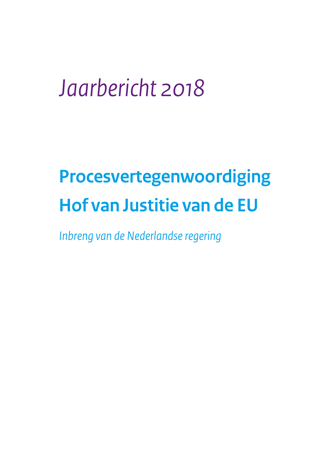# *Jaarbericht 2018*

# **Procesvertegenwoordiging Hof van Justitie van de EU**

*Inbreng van de Nederlandse regering*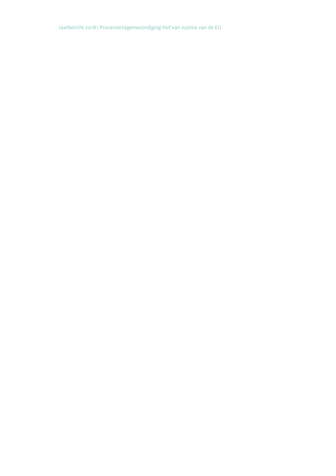Jaarbericht 2018 | Procesvertegenwoordiging Hof van Justitie van de EU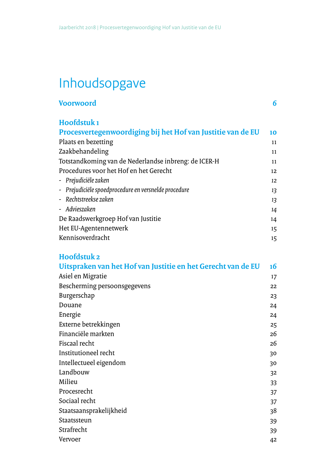## Inhoudsopgave

## **[Voorwoord](#page-7-0) 6**

## **Hoofdstuk 1**

| Procesvertegenwoordiging bij het Hof van Justitie van de EU |                   |
|-------------------------------------------------------------|-------------------|
| Plaats en bezetting                                         |                   |
| Zaakbehandeling                                             |                   |
| Totstandkoming van de Nederlandse inbreng: de ICER-H        |                   |
| Procedures voor het Hof en het Gerecht                      |                   |
| - Prejudiciële zaken                                        | $12 \overline{ }$ |
| - Prejudiciële spoedprocedure en versnelde procedure        | 13                |
| - Rechtstreekse zaken                                       |                   |
| - Advieszaken                                               | 14                |
| De Raadswerkgroep Hof van Justitie                          |                   |
| Het EU-Agentennetwerk                                       |                   |
| Kennisoverdracht                                            |                   |

## **[Hoofdstuk 2](#page-17-0)**

| Uitspraken van het Hof van Justitie en het Gerecht van de EU | 16 |
|--------------------------------------------------------------|----|
| Asiel en Migratie                                            |    |
| Bescherming persoonsgegevens                                 |    |
| Burgerschap                                                  |    |
| Douane                                                       | 24 |
| Energie                                                      | 24 |
| Externe betrekkingen                                         | 25 |
| Financiële markten                                           |    |
| Fiscaal recht                                                | 26 |
| Institutioneel recht                                         |    |
| Intellectueel eigendom                                       |    |
| Landbouw                                                     |    |
| Milieu                                                       | 33 |
| Procesrecht                                                  |    |
| Sociaal recht                                                |    |
| Staatsaansprakelijkheid                                      |    |
| Staatssteun                                                  |    |
| Strafrecht                                                   |    |
| Vervoer                                                      | 42 |
|                                                              |    |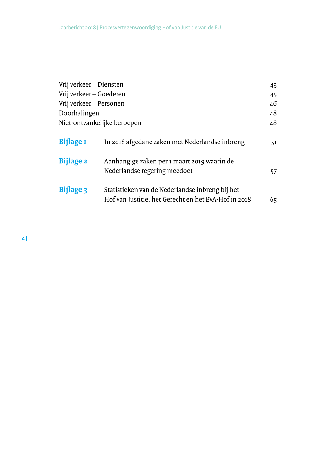| Vrij verkeer – Diensten     |                                                                                                         | 43 |
|-----------------------------|---------------------------------------------------------------------------------------------------------|----|
| Vrij verkeer – Goederen     |                                                                                                         | 45 |
| Vrij verkeer – Personen     |                                                                                                         | 46 |
| Doorhalingen                |                                                                                                         | 48 |
| Niet-ontvankelijke beroepen |                                                                                                         | 48 |
| Bijlage 1                   | In 2018 afgedane zaken met Nederlandse inbreng                                                          | 51 |
| Bijlage 2                   | Aanhangige zaken per 1 maart 2019 waarin de<br>Nederlandse regering meedoet                             | 57 |
| <b>Bijlage 3</b>            | Statistieken van de Nederlandse inbreng bij het<br>Hof van Justitie, het Gerecht en het EVA-Hof in 2018 | 65 |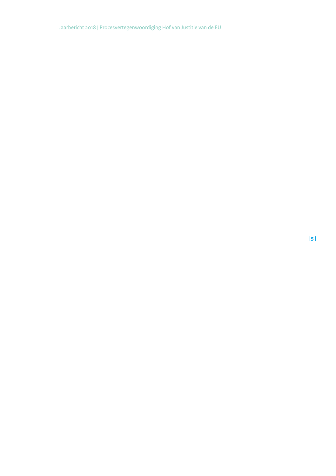Jaarbericht 2018 | Procesvertegenwoordiging Hof van Justitie van de EU

**| 5 |**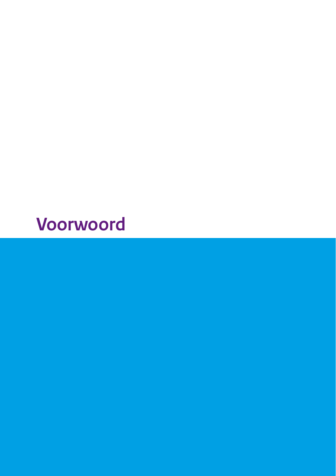<span id="page-7-0"></span>**Voorwoord**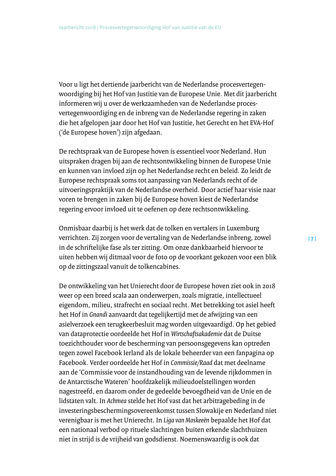Voor u ligt het dertiende jaarbericht van de Nederlandse procesvertegenwoordiging bij het Hof van Justitie van de Europese Unie. Met dit jaarbericht informeren wij u over de werkzaamheden van de Nederlandse procesvertegenwoordiging en de inbreng van de Nederlandse regering in zaken die het afgelopen jaar door het Hof van Justitie, het Gerecht en het EVA-Hof ('de Europese hoven') zijn afgedaan.

De rechtspraak van de Europese hoven is essentieel voor Nederland. Hun uitspraken dragen bij aan de rechtsontwikkeling binnen de Europese Unie en kunnen van invloed zijn op het Nederlandse recht en beleid. Zo leidt de Europese rechtspraak soms tot aanpassing van Nederlands recht of de uitvoeringspraktijk van de Nederlandse overheid. Door actief haar visie naar voren te brengen in zaken bij de Europese hoven kiest de Nederlandse regering ervoor invloed uit te oefenen op deze rechtsontwikkeling.

Onmisbaar daarbij is het werk dat de tolken en vertalers in Luxemburg verrichten. Zij zorgen voor de vertaling van de Nederlandse inbreng, zowel in de schriftelijke fase als ter zitting. Om onze dankbaarheid hiervoor te uiten hebben wij ditmaal voor de foto op de voorkant gekozen voor een blik op de zittingszaal vanuit de tolkencabines.

De ontwikkeling van het Unierecht door de Europese hoven ziet ook in 2018 weer op een breed scala aan onderwerpen, zoals migratie, intellectueel eigendom, milieu, strafrecht en sociaal recht. Met betrekking tot asiel heeft het Hof in *Gnandi* aanvaardt dat tegelijkertijd met de afwijzing van een asielverzoek een terugkeerbesluit mag worden uitgevaardigd. Op het gebied van dataprotectie oordeelde het Hof in *Wirtschaftsakademie* dat de Duitse toezichthouder voor de bescherming van persoonsgegevens kan optreden tegen zowel Facebook Ierland als de lokale beheerder van een fanpagina op Facebook. Verder oordeelde het Hof in *Commissie/Raad* dat met deelname aan de 'Commissie voor de instandhouding van de levende rijkdommen in de Antarctische Wateren' hoofdzakelijk milieudoelstellingen worden nagestreefd, en daarom onder de gedeelde bevoegdheid van de Unie en de lidstaten valt. In *Achmea* stelde het Hof vast dat het arbitragebeding in de investeringsbeschermingsovereenkomst tussen Slowakije en Nederland niet verenigbaar is met het Unierecht. In *Liga van Moskeeën* bepaalde het Hof dat een nationaal verbod op rituele slachtingen buiten erkende slachthuizen niet in strijd is de vrijheid van godsdienst. Noemenswaardig is ook dat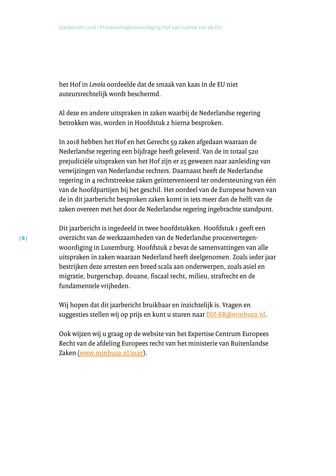het Hof in *Levola* oordeelde dat de smaak van kaas in de EU niet auteursrechtelijk wordt beschermd.

Al deze en andere uitspraken in zaken waarbij de Nederlandse regering betrokken was, worden in Hoofdstuk 2 hierna besproken.

In 2018 hebben het Hof en het Gerecht 59 zaken afgedaan waaraan de Nederlandse regering een bijdrage heeft geleverd. Van de in totaal 520 prejudiciële uitspraken van het Hof zijn er 25 gewezen naar aanleiding van verwijzingen van Nederlandse rechters. Daarnaast heeft de Nederlandse regering in 4 rechtstreekse zaken geïntervenieerd ter ondersteuning van één van de hoofdpartijen bij het geschil. Het oordeel van de Europese hoven van de in dit jaarbericht besproken zaken komt in iets meer dan de helft van de zaken overeen met het door de Nederlandse regering ingebrachte standpunt.

Dit jaarbericht is ingedeeld in twee hoofdstukken. Hoofdstuk 1 geeft een overzicht van de werkzaamheden van de Nederlandse procesvertegenwoordiging in Luxemburg. Hoofdstuk 2 bevat de samenvattingen van alle uitspraken in zaken waaraan Nederland heeft deelgenomen. Zoals ieder jaar bestrijken deze arresten een breed scala aan onderwerpen, zoals asiel en migratie, burgerschap, douane, fiscaal recht, milieu, strafrecht en de fundamentele vrijheden.

Wij hopen dat dit jaarbericht bruikbaar en inzichtelijk is. Vragen en suggesties stellen wij op prijs en kunt u sturen naar [DJZ-ER@minbuza.nl](mailto:DJZ-ER%40minbuza.nl?subject=).

Ook wijzen wij u graag op de website van het Expertise Centrum Europees Recht van de afdeling Europees recht van het ministerie van Buitenlandse Zaken ([www.minbuza.nl/ecer\)](http://www.minbuza.nl/ecer).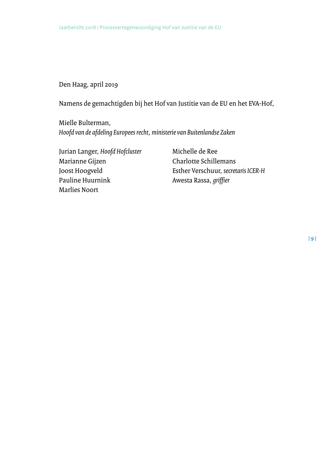Den Haag, april 2019

Namens de gemachtigden bij het Hof van Justitie van de EU en het EVA-Hof,

Mielle Bulterman, *Hoofd van de afdeling Europees recht, ministerie van Buitenlandse Zaken*

Jurian Langer, *Hoofd Hofcluster* Marianne Gijzen Joost Hoogveld Pauline Huurnink Marlies Noort

Michelle de Ree Charlotte Schillemans Esther Verschuur, *secretaris ICER-H* Awesta Rassa, *griffier*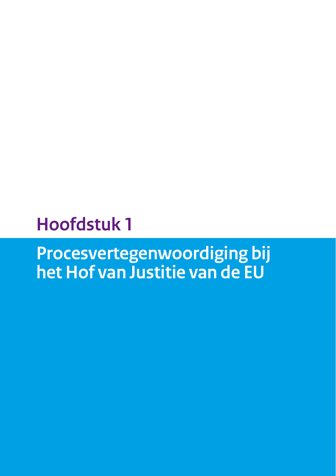## <span id="page-11-0"></span>**Hoofdstuk 1**

**Procesvertegenwoordiging bij het Hof van Justitie van de EU**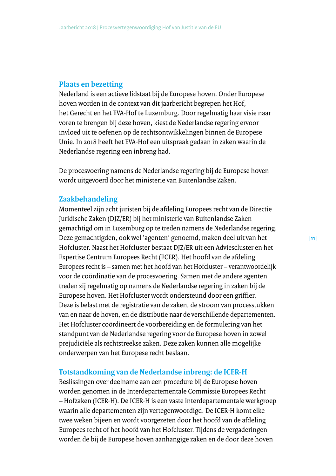### <span id="page-12-0"></span>**Plaats en bezetting**

Nederland is een actieve lidstaat bij de Europese hoven. Onder Europese hoven worden in de context van dit jaarbericht begrepen het Hof, het Gerecht en het EVA-Hof te Luxemburg. Door regelmatig haar visie naar voren te brengen bij deze hoven, kiest de Nederlandse regering ervoor invloed uit te oefenen op de rechtsontwikkelingen binnen de Europese Unie. In 2018 heeft het EVA-Hof een uitspraak gedaan in zaken waarin de Nederlandse regering een inbreng had.

De procesvoering namens de Nederlandse regering bij de Europese hoven wordt uitgevoerd door het ministerie van Buitenlandse Zaken.

#### **Zaakbehandeling**

Momenteel zijn acht juristen bij de afdeling Europees recht van de Directie Juridische Zaken (DJZ/ER) bij het ministerie van Buitenlandse Zaken gemachtigd om in Luxemburg op te treden namens de Nederlandse regering. Deze gemachtigden, ook wel 'agenten' genoemd, maken deel uit van het Hofcluster. Naast het Hofcluster bestaat DJZ/ER uit een Adviescluster en het Expertise Centrum Europees Recht (ECER). Het hoofd van de afdeling Europees recht is – samen met het hoofd van het Hofcluster – verantwoordelijk voor de coördinatie van de procesvoering. Samen met de andere agenten treden zij regelmatig op namens de Nederlandse regering in zaken bij de Europese hoven. Het Hofcluster wordt ondersteund door een griffier. Deze is belast met de registratie van de zaken, de stroom van processtukken van en naar de hoven, en de distributie naar de verschillende departementen. Het Hofcluster coördineert de voorbereiding en de formulering van het standpunt van de Nederlandse regering voor de Europese hoven in zowel prejudiciële als rechtstreekse zaken. Deze zaken kunnen alle mogelijke onderwerpen van het Europese recht beslaan.

## **Totstandkoming van de Nederlandse inbreng: de ICER-H**

Beslissingen over deelname aan een procedure bij de Europese hoven worden genomen in de Interdepartementale Commissie Europees Recht – Hofzaken (ICER-H). De ICER-H is een vaste interdepartementale werkgroep waarin alle departementen zijn vertegenwoordigd. De ICER-H komt elke twee weken bijeen en wordt voorgezeten door het hoofd van de afdeling Europees recht of het hoofd van het Hofcluster. Tijdens de vergaderingen worden de bij de Europese hoven aanhangige zaken en de door deze hoven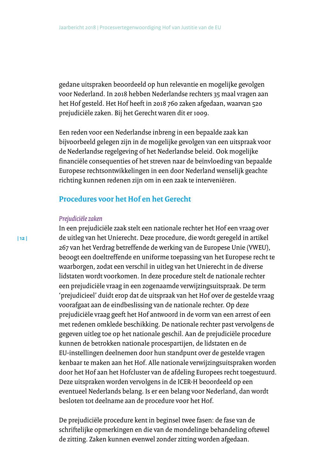<span id="page-13-0"></span>gedane uitspraken beoordeeld op hun relevantie en mogelijke gevolgen voor Nederland. In 2018 hebben Nederlandse rechters 35 maal vragen aan het Hof gesteld. Het Hof heeft in 2018 760 zaken afgedaan, waarvan 520 prejudiciële zaken. Bij het Gerecht waren dit er 1009.

Een reden voor een Nederlandse inbreng in een bepaalde zaak kan bijvoorbeeld gelegen zijn in de mogelijke gevolgen van een uitspraak voor de Nederlandse regelgeving of het Nederlandse beleid. Ook mogelijke financiële consequenties of het streven naar de beïnvloeding van bepaalde Europese rechtsontwikkelingen in een door Nederland wenselijk geachte richting kunnen redenen zijn om in een zaak te interveniëren.

#### **Procedures voor het Hof en het Gerecht**

#### *Prejudiciële zaken*

In een prejudiciële zaak stelt een nationale rechter het Hof een vraag over de uitleg van het Unierecht. Deze procedure, die wordt geregeld in artikel 267 van het Verdrag betreffende de werking van de Europese Unie (VWEU), beoogt een doeltreffende en uniforme toepassing van het Europese recht te waarborgen, zodat een verschil in uitleg van het Unierecht in de diverse lidstaten wordt voorkomen. In deze procedure stelt de nationale rechter een prejudiciële vraag in een zogenaamde verwijzingsuitspraak. De term 'prejudicieel' duidt erop dat de uitspraak van het Hof over de gestelde vraag voorafgaat aan de eindbeslissing van de nationale rechter. Op deze prejudiciële vraag geeft het Hof antwoord in de vorm van een arrest of een met redenen omklede beschikking. De nationale rechter past vervolgens de gegeven uitleg toe op het nationale geschil. Aan de prejudiciële procedure kunnen de betrokken nationale procespartijen, de lidstaten en de EU-instellingen deelnemen door hun standpunt over de gestelde vragen kenbaar te maken aan het Hof. Alle nationale verwijzingsuitspraken worden door het Hof aan het Hofcluster van de afdeling Europees recht toegestuurd. Deze uitspraken worden vervolgens in de ICER-H beoordeeld op een eventueel Nederlands belang. Is er een belang voor Nederland, dan wordt besloten tot deelname aan de procedure voor het Hof.

De prejudiciële procedure kent in beginsel twee fasen: de fase van de schriftelijke opmerkingen en die van de mondelinge behandeling oftewel de zitting. Zaken kunnen evenwel zonder zitting worden afgedaan.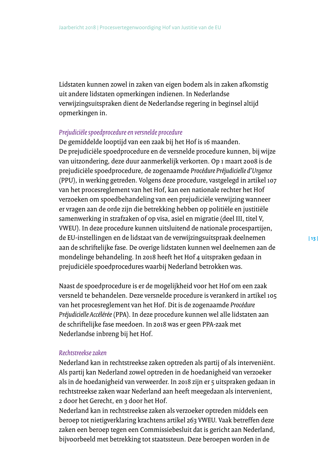<span id="page-14-0"></span>Lidstaten kunnen zowel in zaken van eigen bodem als in zaken afkomstig uit andere lidstaten opmerkingen indienen. In Nederlandse verwijzingsuitspraken dient de Nederlandse regering in beginsel altijd opmerkingen in.

#### *Prejudiciële spoedprocedure en versnelde procedure*

De gemiddelde looptijd van een zaak bij het Hof is 16 maanden. De prejudiciële spoedprocedure en de versnelde procedure kunnen, bij wijze van uitzondering, deze duur aanmerkelijk verkorten. Op 1 maart 2008 is de prejudiciële spoedprocedure, de zogenaamde *Procédure Préjudicielle d'Urgence* (PPU), in werking getreden. Volgens deze procedure, vastgelegd in artikel 107 van het procesreglement van het Hof, kan een nationale rechter het Hof verzoeken om spoedbehandeling van een prejudiciële verwijzing wanneer er vragen aan de orde zijn die betrekking hebben op politiële en justitiële samenwerking in strafzaken of op visa, asiel en migratie (deel III, titel V, VWEU). In deze procedure kunnen uitsluitend de nationale procespartijen, de EU-instellingen en de lidstaat van de verwijzingsuitspraak deelnemen aan de schriftelijke fase. De overige lidstaten kunnen wel deelnemen aan de mondelinge behandeling. In 2018 heeft het Hof 4 uitspraken gedaan in prejudiciële spoedprocedures waarbij Nederland betrokken was.

Naast de spoedprocedure is er de mogelijkheid voor het Hof om een zaak versneld te behandelen. Deze versnelde procedure is verankerd in artikel 105 van het procesreglement van het Hof. Dit is de zogenaamde *Procédure Préjudicielle Accélérée* (PPA). In deze procedure kunnen wel alle lidstaten aan de schriftelijke fase meedoen. In 2018 was er geen PPA-zaak met Nederlandse inbreng bij het Hof.

#### *Rechtstreekse zaken*

Nederland kan in rechtstreekse zaken optreden als partij of als interveniënt. Als partij kan Nederland zowel optreden in de hoedanigheid van verzoeker als in de hoedanigheid van verweerder. In 2018 zijn er 5 uitspraken gedaan in rechtstreekse zaken waar Nederland aan heeft meegedaan als intervenient, 2 door het Gerecht, en 3 door het Hof.

Nederland kan in rechtstreekse zaken als verzoeker optreden middels een beroep tot nietigverklaring krachtens artikel 263 VWEU. Vaak betreffen deze zaken een beroep tegen een Commissiebesluit dat is gericht aan Nederland, bijvoorbeeld met betrekking tot staatssteun. Deze beroepen worden in de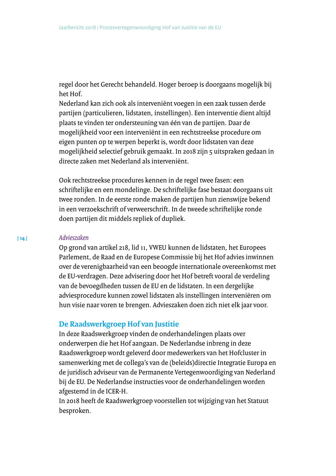<span id="page-15-0"></span>regel door het Gerecht behandeld. Hoger beroep is doorgaans mogelijk bij het Hof.

Nederland kan zich ook als interveniënt voegen in een zaak tussen derde partijen (particulieren, lidstaten, instellingen). Een interventie dient altijd plaats te vinden ter ondersteuning van één van de partijen. Daar de mogelijkheid voor een interveniënt in een rechtstreekse procedure om eigen punten op te werpen beperkt is, wordt door lidstaten van deze mogelijkheid selectief gebruik gemaakt. In 2018 zijn 5 uitspraken gedaan in directe zaken met Nederland als interveniënt.

Ook rechtstreekse procedures kennen in de regel twee fasen: een schriftelijke en een mondelinge. De schriftelijke fase bestaat doorgaans uit twee ronden. In de eerste ronde maken de partijen hun zienswijze bekend in een verzoekschrift of verweerschrift. In de tweede schriftelijke ronde doen partijen dit middels repliek of dupliek.

#### *Advieszaken*

Op grond van artikel 218, lid 11, VWEU kunnen de lidstaten, het Europees Parlement, de Raad en de Europese Commissie bij het Hof advies inwinnen over de verenigbaarheid van een beoogde internationale overeenkomst met de EU-verdragen. Deze advisering door het Hof betreft vooral de verdeling van de bevoegdheden tussen de EU en de lidstaten. In een dergelijke adviesprocedure kunnen zowel lidstaten als instellingen interveniëren om hun visie naar voren te brengen. Advieszaken doen zich niet elk jaar voor.

#### **De Raadswerkgroep Hof van Justitie**

In deze Raadswerkgroep vinden de onderhandelingen plaats over onderwerpen die het Hof aangaan. De Nederlandse inbreng in deze Raadswerkgroep wordt geleverd door medewerkers van het Hofcluster in samenwerking met de collega's van de (beleids)directie Integratie Europa en de juridisch adviseur van de Permanente Vertegenwoordiging van Nederland bij de EU. De Nederlandse instructies voor de onderhandelingen worden afgestemd in de ICER-H.

In 2018 heeft de Raadswerkgroep voorstellen tot wijziging van het Statuut besproken.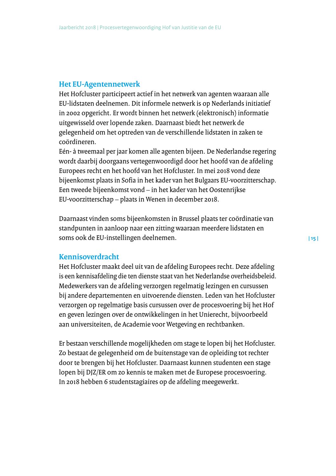## <span id="page-16-0"></span>**Het EU-Agentennetwerk**

Het Hofcluster participeert actief in het netwerk van agenten waaraan alle EU-lidstaten deelnemen. Dit informele netwerk is op Nederlands initiatief in 2002 opgericht. Er wordt binnen het netwerk (elektronisch) informatie uitgewisseld over lopende zaken. Daarnaast biedt het netwerk de gelegenheid om het optreden van de verschillende lidstaten in zaken te coördineren.

Eén- à tweemaal per jaar komen alle agenten bijeen. De Nederlandse regering wordt daarbij doorgaans vertegenwoordigd door het hoofd van de afdeling Europees recht en het hoofd van het Hofcluster. In mei 2018 vond deze bijeenkomst plaats in Sofia in het kader van het Bulgaars EU-voorzitterschap. Een tweede bijeenkomst vond – in het kader van het Oostenrijkse EU-voorzitterschap – plaats in Wenen in december 2018.

Daarnaast vinden soms bijeenkomsten in Brussel plaats ter coördinatie van standpunten in aanloop naar een zitting waaraan meerdere lidstaten en soms ook de EU-instellingen deelnemen.

#### **Kennisoverdracht**

Het Hofcluster maakt deel uit van de afdeling Europees recht. Deze afdeling is een kennisafdeling die ten dienste staat van het Nederlandse overheidsbeleid. Medewerkers van de afdeling verzorgen regelmatig lezingen en cursussen bij andere departementen en uitvoerende diensten. Leden van het Hofcluster verzorgen op regelmatige basis cursussen over de procesvoering bij het Hof en geven lezingen over de ontwikkelingen in het Unierecht, bijvoorbeeld aan universiteiten, de Academie voor Wetgeving en rechtbanken.

Er bestaan verschillende mogelijkheden om stage te lopen bij het Hofcluster. Zo bestaat de gelegenheid om de buitenstage van de opleiding tot rechter door te brengen bij het Hofcluster. Daarnaast kunnen studenten een stage lopen bij DJZ/ER om zo kennis te maken met de Europese procesvoering. In 2018 hebben 6 studentstagiaires op de afdeling meegewerkt.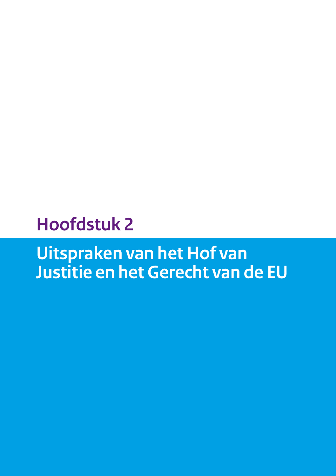## <span id="page-17-0"></span>**Hoofdstuk 2**

**Uitspraken van het Hof van Justitie en het Gerecht van de EU**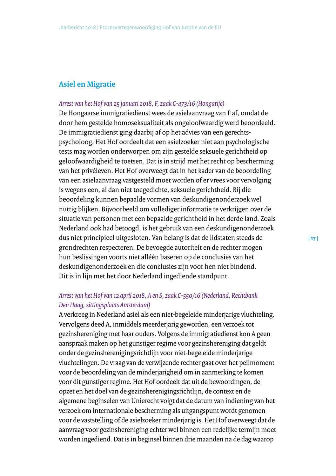#### <span id="page-18-0"></span>**Asiel en Migratie**

#### *Arrest van het Hof van 25 januari 2018, F, zaak C-473/16 (Hongarije)*

De Hongaarse immigratiedienst wees de asielaanvraag van F af, omdat de door hem gestelde homoseksualiteit als ongeloofwaardig werd beoordeeld. De immigratiedienst ging daarbij af op het advies van een gerechtspsycholoog. Het Hof oordeelt dat een asielzoeker niet aan psychologische tests mag worden onderworpen om zijn gestelde seksuele gerichtheid op geloofwaardigheid te toetsen. Dat is in strijd met het recht op bescherming van het privéleven. Het Hof overweegt dat in het kader van de beoordeling van een asielaanvraag vastgesteld moet worden of er vrees voor vervolging is wegens een, al dan niet toegedichte, seksuele gerichtheid. Bij die beoordeling kunnen bepaalde vormen van deskundigenonderzoek wel nuttig blijken. Bijvoorbeeld om vollediger informatie te verkrijgen over de situatie van personen met een bepaalde gerichtheid in het derde land. Zoals Nederland ook had betoogd, is het gebruik van een deskundigenonderzoek dus niet principieel uitgesloten. Van belang is dat de lidstaten steeds de grondrechten respecteren. De bevoegde autoriteit en de rechter mogen hun beslissingen voorts niet alléén baseren op de conclusies van het deskundigenonderzoek en die conclusies zijn voor hen niet bindend. Dit is in lijn met het door Nederland ingediende standpunt.

## *Arrest van het Hof van 12 april 2018, A en S, zaak C-550/16 (Nederland, Rechtbank Den Haag, zittingsplaats Amsterdam)*

A verkreeg in Nederland asiel als een niet-begeleide minderjarige vluchteling. Vervolgens deed A, inmiddels meerderjarig geworden, een verzoek tot gezinshereniging met haar ouders. Volgens de immigratiedienst kon A geen aanspraak maken op het gunstiger regime voor gezinshereniging dat geldt onder de gezinsherenigingsrichtlijn voor niet-begeleide minderjarige vluchtelingen. De vraag van de verwijzende rechter gaat over het peilmoment voor de beoordeling van de minderjarigheid om in aanmerking te komen voor dit gunstiger regime. Het Hof oordeelt dat uit de bewoordingen, de opzet en het doel van de gezinsherenigingsrichtlijn, de context en de algemene beginselen van Unierecht volgt dat de datum van indiening van het verzoek om internationale bescherming als uitgangspunt wordt genomen voor de vaststelling of de asielzoeker minderjarig is. Het Hof overweegt dat de aanvraag voor gezinshereniging echter wel binnen een redelijke termijn moet worden ingediend. Dat is in beginsel binnen drie maanden na de dag waarop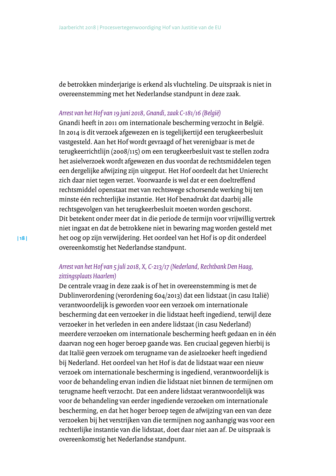de betrokken minderjarige is erkend als vluchteling. De uitspraak is niet in overeenstemming met het Nederlandse standpunt in deze zaak.

#### *Arrest van het Hof van 19 juni 2018, Gnandi, zaak C-181/16 (België)*

Gnandi heeft in 2011 om internationale bescherming verzocht in België. In 2014 is dit verzoek afgewezen en is tegelijkertijd een terugkeerbesluit vastgesteld. Aan het Hof wordt gevraagd of het verenigbaar is met de terugkeerrichtlijn (2008/115) om een terugkeerbesluit vast te stellen zodra het asielverzoek wordt afgewezen en dus voordat de rechtsmiddelen tegen een dergelijke afwijzing zijn uitgeput. Het Hof oordeelt dat het Unierecht zich daar niet tegen verzet. Voorwaarde is wel dat er een doeltreffend rechtsmiddel openstaat met van rechtswege schorsende werking bij ten minste één rechterlijke instantie. Het Hof benadrukt dat daarbij alle rechtsgevolgen van het terugkeerbesluit moeten worden geschorst. Dit betekent onder meer dat in die periode de termijn voor vrijwillig vertrek niet ingaat en dat de betrokkene niet in bewaring mag worden gesteld met het oog op zijn verwijdering. Het oordeel van het Hof is op dit onderdeel overeenkomstig het Nederlandse standpunt.

## *Arrest van het Hof van 5 juli 2018, X, C-213/17 (Nederland, Rechtbank Den Haag, zittingsplaats Haarlem)*

De centrale vraag in deze zaak is of het in overeenstemming is met de Dublinverordening (verordening 604/2013) dat een lidstaat (in casu Italië) verantwoordelijk is geworden voor een verzoek om internationale bescherming dat een verzoeker in die lidstaat heeft ingediend, terwijl deze verzoeker in het verleden in een andere lidstaat (in casu Nederland) meerdere verzoeken om internationale bescherming heeft gedaan en in één daarvan nog een hoger beroep gaande was. Een cruciaal gegeven hierbij is dat Italië geen verzoek om terugname van de asielzoeker heeft ingediend bij Nederland. Het oordeel van het Hof is dat de lidstaat waar een nieuw verzoek om internationale bescherming is ingediend, verantwoordelijk is voor de behandeling ervan indien die lidstaat niet binnen de termijnen om terugname heeft verzocht. Dat een andere lidstaat verantwoordelijk was voor de behandeling van eerder ingediende verzoeken om internationale bescherming, en dat het hoger beroep tegen de afwijzing van een van deze verzoeken bij het verstrijken van die termijnen nog aanhangig was voor een rechterlijke instantie van die lidstaat, doet daar niet aan af. De uitspraak is overeenkomstig het Nederlandse standpunt.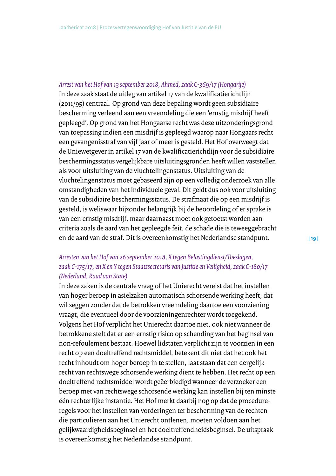#### *Arrest van het Hof van 13 september 2018, Ahmed, zaak C-369/17 (Hongarije)*

In deze zaak staat de uitleg van artikel 17 van de kwalificatierichtlijn (2011/95) centraal. Op grond van deze bepaling wordt geen subsidiaire bescherming verleend aan een vreemdeling die een 'ernstig misdrijf heeft gepleegd'. Op grond van het Hongaarse recht was deze uitzonderingsgrond van toepassing indien een misdrijf is gepleegd waarop naar Hongaars recht een gevangenisstraf van vijf jaar of meer is gesteld. Het Hof overweegt dat de Uniewetgever in artikel 17 van de kwalificatierichtlijn voor de subsidiaire beschermingsstatus vergelijkbare uitsluitingsgronden heeft willen vaststellen als voor uitsluiting van de vluchtelingenstatus. Uitsluiting van de vluchtelingenstatus moet gebaseerd zijn op een volledig onderzoek van alle omstandigheden van het individuele geval. Dit geldt dus ook voor uitsluiting van de subsidiaire beschermingsstatus. De strafmaat die op een misdrijf is gesteld, is weliswaar bijzonder belangrijk bij de beoordeling of er sprake is van een ernstig misdrijf, maar daarnaast moet ook getoetst worden aan criteria zoals de aard van het gepleegde feit, de schade die is teweeggebracht en de aard van de straf. Dit is overeenkomstig het Nederlandse standpunt.

## *Arresten van het Hof van 26 september 2018, X tegen Belastingdienst/Toeslagen, zaak C-175/17, en X en Y tegen Staatssecretaris van Justitie en Veiligheid, zaak C-180/17 (Nederland, Raad van State)*

In deze zaken is de centrale vraag of het Unierecht vereist dat het instellen van hoger beroep in asielzaken automatisch schorsende werking heeft, dat wil zeggen zonder dat de betrokken vreemdeling daartoe een voorziening vraagt, die eventueel door de voorzieningenrechter wordt toegekend. Volgens het Hof verplicht het Unierecht daartoe niet, ook niet wanneer de betrokkene stelt dat er een ernstig risico op schending van het beginsel van non-refoulement bestaat. Hoewel lidstaten verplicht zijn te voorzien in een recht op een doeltreffend rechtsmiddel, betekent dit niet dat het ook het recht inhoudt om hoger beroep in te stellen, laat staan dat een dergelijk recht van rechtswege schorsende werking dient te hebben. Het recht op een doeltreffend rechtsmiddel wordt geëerbiedigd wanneer de verzoeker een beroep met van rechtswege schorsende werking kan instellen bij ten minste één rechterlijke instantie. Het Hof merkt daarbij nog op dat de procedureregels voor het instellen van vorderingen ter bescherming van de rechten die particulieren aan het Unierecht ontlenen, moeten voldoen aan het gelijkwaardigheidsbeginsel en het doeltreffendheidsbeginsel. De uitspraak is overeenkomstig het Nederlandse standpunt.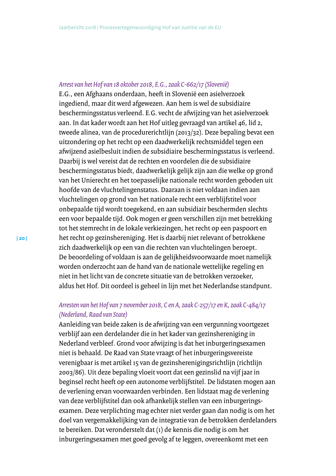#### *Arrest van het Hof van 18 oktober 2018, E.G., zaak C-662/17 (Slovenië)*

E.G., een Afghaans onderdaan, heeft in Slovenië een asielverzoek ingediend, maar dit werd afgewezen. Aan hem is wel de subsidiaire beschermingsstatus verleend. E.G. vecht de afwijzing van het asielverzoek aan. In dat kader wordt aan het Hof uitleg gevraagd van artikel 46, lid 2, tweede alinea, van de procedurerichtlijn (2013/32). Deze bepaling bevat een uitzondering op het recht op een daadwerkelijk rechtsmiddel tegen een afwijzend asielbesluit indien de subsidiaire beschermingsstatus is verleend. Daarbij is wel vereist dat de rechten en voordelen die de subsidiaire beschermingsstatus biedt, daadwerkelijk gelijk zijn aan die welke op grond van het Unierecht en het toepasselijke nationale recht worden geboden uit hoofde van de vluchtelingenstatus. Daaraan is niet voldaan indien aan vluchtelingen op grond van het nationale recht een verblijfstitel voor onbepaalde tijd wordt toegekend, en aan subsidiair beschermden slechts een voor bepaalde tijd. Ook mogen er geen verschillen zijn met betrekking tot het stemrecht in de lokale verkiezingen, het recht op een paspoort en het recht op gezinshereniging. Het is daarbij niet relevant of betrokkene zich daadwerkelijk op een van die rechten van vluchtelingen beroept. De beoordeling of voldaan is aan de gelijkheidsvoorwaarde moet namelijk worden onderzocht aan de hand van de nationale wettelijke regeling en niet in het licht van de concrete situatie van de betrokken verzoeker, aldus het Hof. Dit oordeel is geheel in lijn met het Nederlandse standpunt.

## *Arresten van het Hof van 7 november 2018, C en A, zaak C-257/17 en K, zaak C-484/17 (Nederland, Raad van State)*

Aanleiding van beide zaken is de afwijzing van een vergunning voortgezet verblijf aan een derdelander die in het kader van gezinshereniging in Nederland verbleef. Grond voor afwijzing is dat het inburgeringsexamen niet is behaald. De Raad van State vraagt of het inburgeringsvereiste verenigbaar is met artikel 15 van de gezinsherenigingsrichtlijn (richtlijn 2003/86). Uit deze bepaling vloeit voort dat een gezinslid na vijf jaar in beginsel recht heeft op een autonome verblijfstitel. De lidstaten mogen aan de verlening ervan voorwaarden verbinden. Een lidstaat mag de verlening van deze verblijfstitel dan ook afhankelijk stellen van een inburgeringsexamen. Deze verplichting mag echter niet verder gaan dan nodig is om het doel van vergemakkelijking van de integratie van de betrokken derdelanders te bereiken. Dat veronderstelt dat (1) de kennis die nodig is om het inburgeringsexamen met goed gevolg af te leggen, overeenkomt met een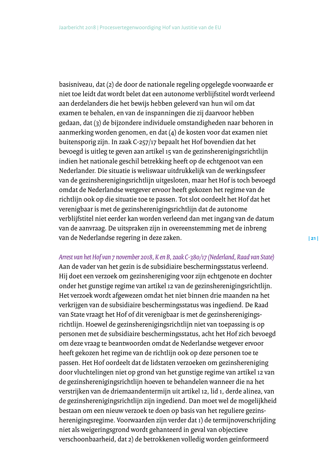basisniveau, dat (2) de door de nationale regeling opgelegde voorwaarde er niet toe leidt dat wordt belet dat een autonome verblijfstitel wordt verleend aan derdelanders die het bewijs hebben geleverd van hun wil om dat examen te behalen, en van de inspanningen die zij daarvoor hebben gedaan, dat (3) de bijzondere individuele omstandigheden naar behoren in aanmerking worden genomen, en dat (4) de kosten voor dat examen niet buitensporig zijn. In zaak C-257/17 bepaalt het Hof bovendien dat het bevoegd is uitleg te geven aan artikel 15 van de gezinsherenigingsrichtlijn indien het nationale geschil betrekking heeft op de echtgenoot van een Nederlander. Die situatie is weliswaar uitdrukkelijk van de werkingssfeer van de gezinsherenigingsrichtlijn uitgesloten, maar het Hof is toch bevoegd omdat de Nederlandse wetgever ervoor heeft gekozen het regime van de richtlijn ook op die situatie toe te passen. Tot slot oordeelt het Hof dat het verenigbaar is met de gezinsherenigingsrichtlijn dat de autonome verblijfstitel niet eerder kan worden verleend dan met ingang van de datum van de aanvraag. De uitspraken zijn in overeenstemming met de inbreng van de Nederlandse regering in deze zaken.

#### *Arrest van het Hof van 7 november 2018, K en B, zaak C-380/17 (Nederland, Raad van State)*

Aan de vader van het gezin is de subsidiaire beschermingsstatus verleend. Hij doet een verzoek om gezinshereniging voor zijn echtgenote en dochter onder het gunstige regime van artikel 12 van de gezinsherenigingsrichtlijn. Het verzoek wordt afgewezen omdat het niet binnen drie maanden na het verkrijgen van de subsidiaire beschermingsstatus was ingediend. De Raad van State vraagt het Hof of dit verenigbaar is met de gezinsherenigingsrichtlijn. Hoewel de gezinsherenigingsrichtlijn niet van toepassing is op personen met de subsidiaire beschermingsstatus, acht het Hof zich bevoegd om deze vraag te beantwoorden omdat de Nederlandse wetgever ervoor heeft gekozen het regime van de richtlijn ook op deze personen toe te passen. Het Hof oordeelt dat de lidstaten verzoeken om gezinshereniging door vluchtelingen niet op grond van het gunstige regime van artikel 12 van de gezinsherenigingsrichtlijn hoeven te behandelen wanneer die na het verstrijken van de driemaandentermijn uit artikel 12, lid 1, derde alinea, van de gezinsherenigingsrichtlijn zijn ingediend. Dan moet wel de mogelijkheid bestaan om een nieuw verzoek te doen op basis van het reguliere gezinsherenigingsregime. Voorwaarden zijn verder dat 1) de termijnoverschrijding niet als weigeringsgrond wordt gehanteerd in geval van objectieve verschoonbaarheid, dat 2) de betrokkenen volledig worden geïnformeerd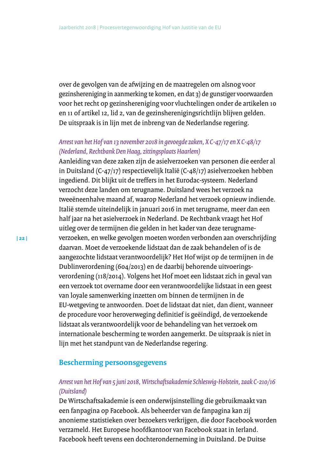<span id="page-23-0"></span>over de gevolgen van de afwijzing en de maatregelen om alsnog voor gezinshereniging in aanmerking te komen, en dat 3) de gunstiger voorwaarden voor het recht op gezinshereniging voor vluchtelingen onder de artikelen 10 en 11 of artikel 12, lid 2, van de gezinsherenigingsrichtlijn blijven gelden. De uitspraak is in lijn met de inbreng van de Nederlandse regering.

## *Arrest van het Hof van 13 november 2018 in gevoegde zaken, X C-47/17 en X C-48/17 (Nederland, Rechtbank Den Haag, zittingsplaats Haarlem)*

Aanleiding van deze zaken zijn de asielverzoeken van personen die eerder al in Duitsland (C-47/17) respectievelijk Italië (C-48/17) asielverzoeken hebben ingediend. Dit blijkt uit de treffers in het Eurodac-systeem. Nederland verzocht deze landen om terugname. Duitsland wees het verzoek na tweeëneenhalve maand af, waarop Nederland het verzoek opnieuw indiende. Italië stemde uiteindelijk in januari 2016 in met terugname, meer dan een half jaar na het asielverzoek in Nederland. De Rechtbank vraagt het Hof uitleg over de termijnen die gelden in het kader van deze terugnameverzoeken, en welke gevolgen moeten worden verbonden aan overschrijding daarvan. Moet de verzoekende lidstaat dan de zaak behandelen of is de aangezochte lidstaat verantwoordelijk? Het Hof wijst op de termijnen in de Dublinverordening (604/2013) en de daarbij behorende uitvoeringsverordening (118/2014). Volgens het Hof moet een lidstaat zich in geval van een verzoek tot overname door een verantwoordelijke lidstaat in een geest van loyale samenwerking inzetten om binnen de termijnen in de EU-wetgeving te antwoorden. Doet de lidstaat dat niet, dan dient, wanneer de procedure voor heroverweging definitief is geëindigd, de verzoekende lidstaat als verantwoordelijk voor de behandeling van het verzoek om internationale bescherming te worden aangemerkt. De uitspraak is niet in lijn met het standpunt van de Nederlandse regering.

#### **Bescherming persoonsgegevens**

### *Arrest van het Hof van 5 juni 2018, Wirtschaftsakademie Schleswig-Holstein, zaak C-210/16 (Duitsland)*

De Wirtschaftsakademie is een onderwijsinstelling die gebruikmaakt van een fanpagina op Facebook. Als beheerder van de fanpagina kan zij anonieme statistieken over bezoekers verkrijgen, die door Facebook worden verzameld. Het Europese hoofdkantoor van Facebook staat in Ierland. Facebook heeft tevens een dochteronderneming in Duitsland. De Duitse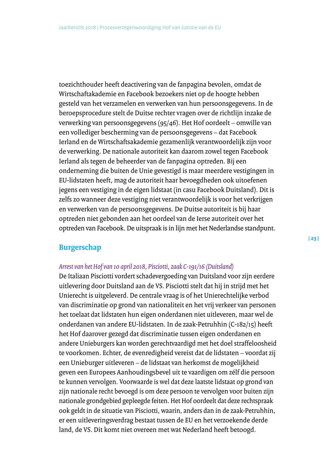<span id="page-24-0"></span>toezichthouder heeft deactivering van de fanpagina bevolen, omdat de Wirtschaftakademie en Facebook bezoekers niet op de hoogte hebben gesteld van het verzamelen en verwerken van hun persoonsgegevens. In de beroepsprocedure stelt de Duitse rechter vragen over de richtlijn inzake de verwerking van persoonsgegevens (95/46). Het Hof oordeelt – omwille van een vollediger bescherming van de persoonsgegevens – dat Facebook Ierland en de Wirtschaftsakademie gezamenlijk verantwoordelijk zijn voor de verwerking. De nationale autoriteit kan daarom zowel tegen Facebook Ierland als tegen de beheerder van de fanpagina optreden. Bij een onderneming die buiten de Unie gevestigd is maar meerdere vestigingen in EU-lidstaten heeft, mag de autoriteit haar bevoegdheden ook uitoefenen jegens een vestiging in de eigen lidstaat (in casu Facebook Duitsland). Dit is zelfs zo wanneer deze vestiging niet verantwoordelijk is voor het verkrijgen en verwerken van de persoonsgegevens. De Duitse autoriteit is bij haar optreden niet gebonden aan het oordeel van de Ierse autoriteit over het optreden van Facebook. De uitspraak is in lijn met het Nederlandse standpunt.

## **Burgerschap**

#### *Arrest van het Hof van 10 april 2018, Pisciotti, zaak C-191/16 (Duitsland)*

De Italiaan Pisciotti vordert schadevergoeding van Duitsland voor zijn eerdere uitlevering door Duitsland aan de VS. Pisciotti stelt dat hij in strijd met het Unierecht is uitgeleverd. De centrale vraag is of het Unierechtelijke verbod van discriminatie op grond van nationaliteit en het vrij verkeer van personen het toelaat dat lidstaten hun eigen onderdanen niet uitleveren, maar wel de onderdanen van andere EU-lidstaten. In de zaak-Petruhhin (C-182/15) heeft het Hof daarover gezegd dat discriminatie tussen eigen onderdanen en andere Unieburgers kan worden gerechtvaardigd met het doel straffeloosheid te voorkomen. Echter, de evenredigheid vereist dat de lidstaten – voordat zij een Unieburger uitleveren – de lidstaat van herkomst de mogelijkheid geven een Europees Aanhoudingsbevel uit te vaardigen om zélf die persoon te kunnen vervolgen. Voorwaarde is wel dat deze laatste lidstaat op grond van zijn nationale recht bevoegd is om deze persoon te vervolgen voor buiten zijn nationale grondgebied gepleegde feiten. Het Hof oordeelt dat deze rechtspraak ook geldt in de situatie van Pisciotti, waarin, anders dan in de zaak-Petruhhin, er een uitleveringsverdrag bestaat tussen de EU en het verzoekende derde land, de VS. Dit komt niet overeen met wat Nederland heeft betoogd.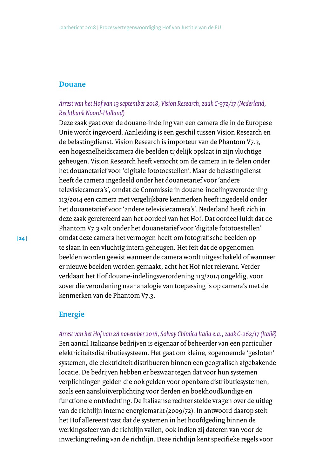#### <span id="page-25-0"></span>**Douane**

### *Arrest van het Hof van 13 september 2018, Vision Research, zaak C-372/17 (Nederland, Rechtbank Noord-Holland)*

Deze zaak gaat over de douane-indeling van een camera die in de Europese Unie wordt ingevoerd. Aanleiding is een geschil tussen Vision Research en de belastingdienst. Vision Research is importeur van de Phantom V7.3, een hogesnelheidscamera die beelden tijdelijk opslaat in zijn vluchtige geheugen. Vision Research heeft verzocht om de camera in te delen onder het douanetarief voor 'digitale fototoestellen'. Maar de belastingdienst heeft de camera ingedeeld onder het douanetarief voor 'andere televisiecamera's', omdat de Commissie in douane-indelingsverordening 113/2014 een camera met vergelijkbare kenmerken heeft ingedeeld onder het douanetarief voor 'andere televisiecamera's'. Nederland heeft zich in deze zaak gerefereerd aan het oordeel van het Hof. Dat oordeel luidt dat de Phantom V7.3 valt onder het douanetarief voor 'digitale fototoestellen' omdat deze camera het vermogen heeft om fotografische beelden op te slaan in een vluchtig intern geheugen. Het feit dat de opgenomen beelden worden gewist wanneer de camera wordt uitgeschakeld of wanneer er nieuwe beelden worden gemaakt, acht het Hof niet relevant. Verder verklaart het Hof douane-indelingsverordening 113/2014 ongeldig, voor zover die verordening naar analogie van toepassing is op camera's met de kenmerken van de Phantom V7.3.

## **Energie**

*Arrest van het Hof van 28 november 2018, Solvay Chimica Italia e.a., zaak C-262/17 (Italië)* Een aantal Italiaanse bedrijven is eigenaar of beheerder van een particulier elektriciteitsdistributiesysteem. Het gaat om kleine, zogenoemde 'gesloten' systemen, die elektriciteit distribueren binnen een geografisch afgebakende locatie. De bedrijven hebben er bezwaar tegen dat voor hun systemen verplichtingen gelden die ook gelden voor openbare distributiesystemen, zoals een aansluitverplichting voor derden en boekhoudkundige en functionele ontvlechting. De Italiaanse rechter stelde vragen over de uitleg van de richtlijn interne energiemarkt (2009/72). In antwoord daarop stelt het Hof allereerst vast dat de systemen in het hoofdgeding binnen de werkingssfeer van de richtlijn vallen, ook indien zij dateren van voor de inwerkingtreding van de richtlijn. Deze richtlijn kent specifieke regels voor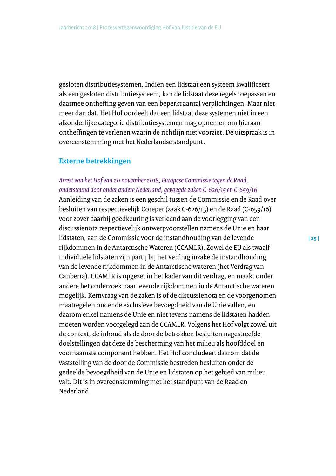<span id="page-26-0"></span>gesloten distributiesystemen. Indien een lidstaat een systeem kwalificeert als een gesloten distributiesysteem, kan de lidstaat deze regels toepassen en daarmee ontheffing geven van een beperkt aantal verplichtingen. Maar niet meer dan dat. Het Hof oordeelt dat een lidstaat deze systemen niet in een afzonderlijke categorie distributiesystemen mag opnemen om hieraan ontheffingen te verlenen waarin de richtlijn niet voorziet. De uitspraak is in overeenstemming met het Nederlandse standpunt.

#### **Externe betrekkingen**

## *Arrest van het Hof van 20 november 2018, Europese Commissie tegen de Raad, ondersteund door onder andere Nederland, gevoegde zaken C-626/15 en C-659/16*

Aanleiding van de zaken is een geschil tussen de Commissie en de Raad over besluiten van respectievelijk Coreper (zaak C-626/15) en de Raad (C-659/16) voor zover daarbij goedkeuring is verleend aan de voorlegging van een discussienota respectievelijk ontwerpvoorstellen namens de Unie en haar lidstaten, aan de Commissie voor de instandhouding van de levende rijkdommen in de Antarctische Wateren (CCAMLR). Zowel de EU als twaalf individuele lidstaten zijn partij bij het Verdrag inzake de instandhouding van de levende rijkdommen in de Antarctische wateren (het Verdrag van Canberra). CCAMLR is opgezet in het kader van dit verdrag, en maakt onder andere het onderzoek naar levende rijkdommen in de Antarctische wateren mogelijk. Kernvraag van de zaken is of de discussienota en de voorgenomen maatregelen onder de exclusieve bevoegdheid van de Unie vallen, en daarom enkel namens de Unie en niet tevens namens de lidstaten hadden moeten worden voorgelegd aan de CCAMLR. Volgens het Hof volgt zowel uit de context, de inhoud als de door de betrokken besluiten nagestreefde doelstellingen dat deze de bescherming van het milieu als hoofddoel en voornaamste component hebben. Het Hof concludeert daarom dat de vaststelling van de door de Commissie bestreden besluiten onder de gedeelde bevoegdheid van de Unie en lidstaten op het gebied van milieu valt. Dit is in overeenstemming met het standpunt van de Raad en Nederland.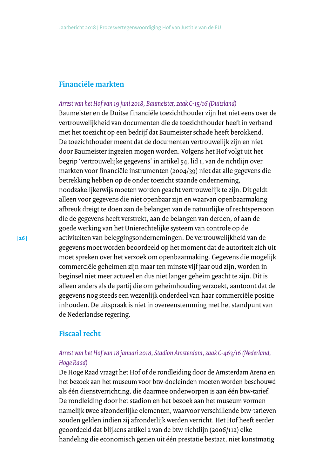### <span id="page-27-0"></span>**Financiële markten**

#### *Arrest van het Hof van 19 juni 2018, Baumeister, zaak C-15/16 (Duitsland)*

Baumeister en de Duitse financiële toezichthouder zijn het niet eens over de vertrouwelijkheid van documenten die de toezichthouder heeft in verband met het toezicht op een bedrijf dat Baumeister schade heeft berokkend. De toezichthouder meent dat de documenten vertrouwelijk zijn en niet door Baumeister ingezien mogen worden. Volgens het Hof volgt uit het begrip 'vertrouwelijke gegevens' in artikel 54, lid 1, van de richtlijn over markten voor financiële instrumenten (2004/39) niet dat alle gegevens die betrekking hebben op de onder toezicht staande onderneming, noodzakelijkerwijs moeten worden geacht vertrouwelijk te zijn. Dit geldt alleen voor gegevens die niet openbaar zijn en waarvan openbaarmaking afbreuk dreigt te doen aan de belangen van de natuurlijke of rechtspersoon die de gegevens heeft verstrekt, aan de belangen van derden, of aan de goede werking van het Unierechtelijke systeem van controle op de activiteiten van beleggingsondernemingen. De vertrouwelijkheid van de gegevens moet worden beoordeeld op het moment dat de autoriteit zich uit moet spreken over het verzoek om openbaarmaking. Gegevens die mogelijk commerciële geheimen zijn maar ten minste vijf jaar oud zijn, worden in beginsel niet meer actueel en dus niet langer geheim geacht te zijn. Dit is alleen anders als de partij die om geheimhouding verzoekt, aantoont dat de gegevens nog steeds een wezenlijk onderdeel van haar commerciële positie inhouden. De uitspraak is niet in overeenstemming met het standpunt van de Nederlandse regering.

### **Fiscaal recht**

## *Arrest van het Hof van 18 januari 2018, Stadion Amsterdam, zaak C-463/16 (Nederland, Hoge Raad)*

De Hoge Raad vraagt het Hof of de rondleiding door de Amsterdam Arena en het bezoek aan het museum voor btw-doeleinden moeten worden beschouwd als één dienstverrichting, die daarmee onderworpen is aan één btw-tarief. De rondleiding door het stadion en het bezoek aan het museum vormen namelijk twee afzonderlijke elementen, waarvoor verschillende btw-tarieven zouden gelden indien zij afzonderlijk werden verricht. Het Hof heeft eerder geoordeeld dat blijkens artikel 2 van de btw-richtlijn (2006/112) elke handeling die economisch gezien uit één prestatie bestaat, niet kunstmatig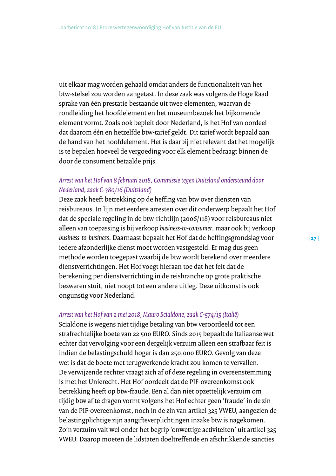uit elkaar mag worden gehaald omdat anders de functionaliteit van het btw-stelsel zou worden aangetast. In deze zaak was volgens de Hoge Raad sprake van één prestatie bestaande uit twee elementen, waarvan de rondleiding het hoofdelement en het museumbezoek het bijkomende element vormt. Zoals ook bepleit door Nederland, is het Hof van oordeel dat daarom één en hetzelfde btw-tarief geldt. Dit tarief wordt bepaald aan de hand van het hoofdelement. Het is daarbij niet relevant dat het mogelijk is te bepalen hoeveel de vergoeding voor elk element bedraagt binnen de door de consument betaalde prijs.

## *Arrest van het Hof van 8 februari 2018, Commissie tegen Duitsland ondersteund door Nederland, zaak C-380/16 (Duitsland)*

Deze zaak heeft betrekking op de heffing van btw over diensten van reisbureaus. In lijn met eerdere arresten over dit onderwerp bepaalt het Hof dat de speciale regeling in de btw-richtlijn (2006/118) voor reisbureaus niet alleen van toepassing is bij verkoop *business-to-consumer*, maar ook bij verkoop *business-to-business*. Daarnaast bepaalt het Hof dat de heffingsgrondslag voor iedere afzonderlijke dienst moet worden vastgesteld. Er mag dus geen methode worden toegepast waarbij de btw wordt berekend over meerdere dienstverrichtingen. Het Hof voegt hieraan toe dat het feit dat de berekening per dienstverrichting in de reisbranche op grote praktische bezwaren stuit, niet noopt tot een andere uitleg. Deze uitkomst is ook ongunstig voor Nederland.

#### *Arrest van het Hof van 2 mei 2018, Mauro Scialdone, zaak C-574/15 (Italië)*

Scialdone is wegens niet tijdige betaling van btw veroordeeld tot een strafrechtelijke boete van 22 500 EURO. Sinds 2015 bepaalt de Italiaanse wet echter dat vervolging voor een dergelijk verzuim alleen een strafbaar feit is indien de belastingschuld hoger is dan 250.000 EURO. Gevolg van deze wet is dat de boete met terugwerkende kracht zou komen te vervallen. De verwijzende rechter vraagt zich af of deze regeling in overeenstemming is met het Unierecht. Het Hof oordeelt dat de PIF-overeenkomst ook betrekking heeft op btw-fraude. Een al dan niet opzettelijk verzuim om tijdig btw af te dragen vormt volgens het Hof echter geen 'fraude' in de zin van de PIF-overeenkomst, noch in de zin van artikel 325 VWEU, aangezien de belastingplichtige zijn aangifteverplichtingen inzake btw is nagekomen. Zo'n verzuim valt wel onder het begrip 'onwettige activiteiten' uit artikel 325 VWEU. Daarop moeten de lidstaten doeltreffende en afschrikkende sancties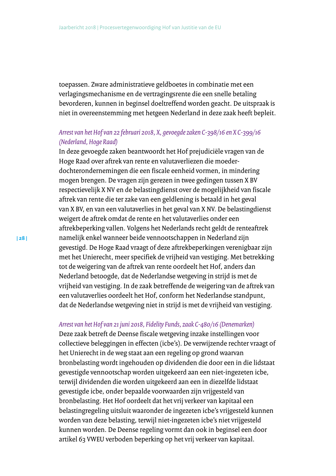toepassen. Zware administratieve geldboetes in combinatie met een verlagingsmechanisme en de vertragingsrente die een snelle betaling bevorderen, kunnen in beginsel doeltreffend worden geacht. De uitspraak is niet in overeenstemming met hetgeen Nederland in deze zaak heeft bepleit.

## *Arrest van het Hof van 22 februari 2018, X, gevoegde zaken C-398/16 en X C-399/16 (Nederland, Hoge Raad)*

In deze gevoegde zaken beantwoordt het Hof prejudiciële vragen van de Hoge Raad over aftrek van rente en valutaverliezen die moederdochterondernemingen die een fiscale eenheid vormen, in mindering mogen brengen. De vragen zijn gerezen in twee gedingen tussen X BV respectievelijk X NV en de belastingdienst over de mogelijkheid van fiscale aftrek van rente die ter zake van een geldlening is betaald in het geval van X BV, en van een valutaverlies in het geval van X NV. De belastingdienst weigert de aftrek omdat de rente en het valutaverlies onder een aftrekbeperking vallen. Volgens het Nederlands recht geldt de renteaftrek namelijk enkel wanneer beide vennootschappen in Nederland zijn gevestigd. De Hoge Raad vraagt of deze aftrekbeperkingen verenigbaar zijn met het Unierecht, meer specifiek de vrijheid van vestiging. Met betrekking tot de weigering van de aftrek van rente oordeelt het Hof, anders dan Nederland betoogde, dat de Nederlandse wetgeving in strijd is met de vrijheid van vestiging. In de zaak betreffende de weigering van de aftrek van een valutaverlies oordeelt het Hof, conform het Nederlandse standpunt, dat de Nederlandse wetgeving niet in strijd is met de vrijheid van vestiging.

#### *Arrest van het Hof van 21 juni 2018, Fidelity Funds, zaak C-480/16 (Denemarken)*

Deze zaak betreft de Deense fiscale wetgeving inzake instellingen voor collectieve beleggingen in effecten (icbe's). De verwijzende rechter vraagt of het Unierecht in de weg staat aan een regeling op grond waarvan bronbelasting wordt ingehouden op dividenden die door een in die lidstaat gevestigde vennootschap worden uitgekeerd aan een niet-ingezeten icbe, terwijl dividenden die worden uitgekeerd aan een in diezelfde lidstaat gevestigde icbe, onder bepaalde voorwaarden zijn vrijgesteld van bronbelasting. Het Hof oordeelt dat het vrij verkeer van kapitaal een belastingregeling uitsluit waaronder de ingezeten icbe's vrijgesteld kunnen worden van deze belasting, terwijl niet-ingezeten icbe's niet vrijgesteld kunnen worden. De Deense regeling vormt dan ook in beginsel een door artikel 63 VWEU verboden beperking op het vrij verkeer van kapitaal.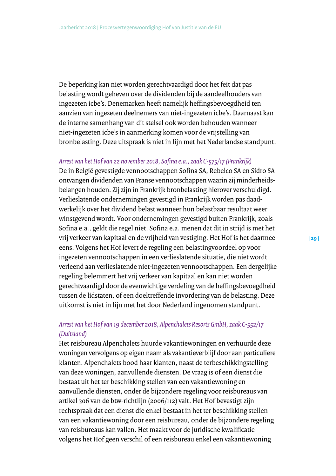De beperking kan niet worden gerechtvaardigd door het feit dat pas belasting wordt geheven over de dividenden bij de aandeelhouders van ingezeten icbe's. Denemarken heeft namelijk heffingsbevoegdheid ten aanzien van ingezeten deelnemers van niet-ingezeten icbe's. Daarnaast kan de interne samenhang van dit stelsel ook worden behouden wanneer niet-ingezeten icbe's in aanmerking komen voor de vrijstelling van bronbelasting. Deze uitspraak is niet in lijn met het Nederlandse standpunt.

#### *Arrest van het Hof van 22 november 2018, Sofina e.a., zaak C-575/17 (Frankrijk)*

De in België gevestigde vennootschappen Sofina SA, Rebelco SA en Sidro SA ontvangen dividenden van Franse vennootschappen waarin zij minderheidsbelangen houden. Zij zijn in Frankrijk bronbelasting hierover verschuldigd. Verlieslatende ondernemingen gevestigd in Frankrijk worden pas daadwerkelijk over het dividend belast wanneer hun belastbaar resultaat weer winstgevend wordt. Voor ondernemingen gevestigd buiten Frankrijk, zoals Sofina e.a., geldt die regel niet. Sofina e.a. menen dat dit in strijd is met het vrij verkeer van kapitaal en de vrijheid van vestiging. Het Hof is het daarmee eens. Volgens het Hof levert de regeling een belastingvoordeel op voor ingezeten vennootschappen in een verlieslatende situatie, die niet wordt verleend aan verlieslatende niet-ingezeten vennootschappen. Een dergelijke regeling belemmert het vrij verkeer van kapitaal en kan niet worden gerechtvaardigd door de evenwichtige verdeling van de heffingsbevoegdheid tussen de lidstaten, of een doeltreffende invordering van de belasting. Deze uitkomst is niet in lijn met het door Nederland ingenomen standpunt.

## *Arrest van het Hof van 19 december 2018, Alpenchalets Resorts GmbH, zaak C-552/17 (Duitsland)*

Het reisbureau Alpenchalets huurde vakantiewoningen en verhuurde deze woningen vervolgens op eigen naam als vakantieverblijf door aan particuliere klanten. Alpenchalets bood haar klanten, naast de terbeschikkingstelling van deze woningen, aanvullende diensten. De vraag is of een dienst die bestaat uit het ter beschikking stellen van een vakantiewoning en aanvullende diensten, onder de bijzondere regeling voor reisbureaus van artikel 306 van de btw-richtlijn (2006/112) valt. Het Hof bevestigt zijn rechtspraak dat een dienst die enkel bestaat in het ter beschikking stellen van een vakantiewoning door een reisbureau, onder de bijzondere regeling van reisbureaus kan vallen. Het maakt voor de juridische kwalificatie volgens het Hof geen verschil of een reisbureau enkel een vakantiewoning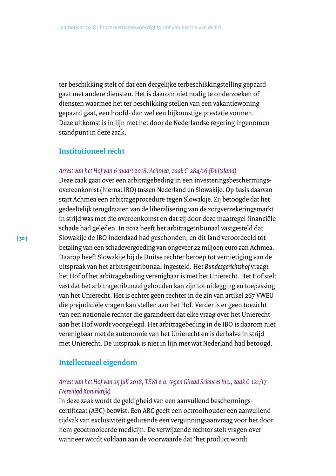<span id="page-31-0"></span>ter beschikking stelt of dat een dergelijke terbeschikkingstelling gepaard gaat met andere diensten. Het is daarom niet nodig te onderzoeken of diensten waarmee het ter beschikking stellen van een vakantiewoning gepaard gaat, een hoofd- dan wel een bijkomstige prestatie vormen. Deze uitkomst is in lijn met het door de Nederlandse regering ingenomen standpunt in deze zaak.

#### **Institutioneel recht**

#### *Arrest van het Hof van 6 maart 2018, Achmea, zaak C-284/16 (Duitsland)*

Deze zaak gaat over een arbitragebeding in een investeringsbeschermingsovereenkomst (hierna: IBO) tussen Nederland en Slowakije. Op basis daarvan start Achmea een arbitrageprocedure tegen Slowakije. Zij betoogde dat het gedeeltelijk terugdraaien van de liberalisering van de zorgverzekeringsmarkt in strijd was met die overeenkomst en dat zij door deze maatregel financiële schade had geleden. In 2012 heeft het arbitragetribunaal vastgesteld dat Slowakije de IBO inderdaad had geschonden, en dit land veroordeeld tot betaling van een schadevergoeding van ongeveer 22 miljoen euro aan Achmea. Daarop heeft Slowakije bij de Duitse rechter beroep tot vernietiging van de uitspraak van het arbitragetribunaal ingesteld. Het *Bundesgerichtshof* vraagt het Hof of het arbitragebeding verenigbaar is met het Unierecht. Het Hof stelt vast dat het arbitragetribunaal gehouden kan zijn tot uitlegging en toepassing van het Unierecht. Het is echter geen rechter in de zin van artikel 267 VWEU die prejudiciële vragen kan stellen aan het Hof. Verder is er geen toezicht van een nationale rechter die garandeert dat elke vraag over het Unierecht aan het Hof wordt voorgelegd. Het arbitragebeding in de IBO is daarom niet verenigbaar met de autonomie van het Unierecht en is derhalve in strijd met Unierecht. De uitspraak is niet in lijn met wat Nederland had betoogd.

## **Intellectueel eigendom**

## *Arrest van het Hof van 25 juli 2018, TEVA e.a. tegen Gilead Sciences Inc., zaak C-121/17 (Verenigd Koninkrijk)*

In deze zaak wordt de geldigheid van een aanvullend beschermingscertificaat (ABC) betwist. Een ABC geeft een octrooihouder een aanvullend tijdvak van exclusiviteit gedurende een vergunningsaanvraag voor het door hem geoctrooieerde medicijn. De verwijzende rechter stelt vragen over wanneer wordt voldaan aan de voorwaarde dat 'het product wordt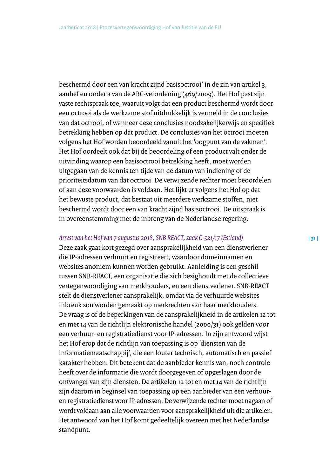beschermd door een van kracht zijnd basisoctrooi' in de zin van artikel 3, aanhef en onder a van de ABC-verordening (469/2009). Het Hof past zijn vaste rechtspraak toe, waaruit volgt dat een product beschermd wordt door een octrooi als de werkzame stof uitdrukkelijk is vermeld in de conclusies van dat octrooi, of wanneer deze conclusies noodzakelijkerwijs en specifiek betrekking hebben op dat product. De conclusies van het octrooi moeten volgens het Hof worden beoordeeld vanuit het 'oogpunt van de vakman'. Het Hof oordeelt ook dat bij de beoordeling of een product valt onder de uitvinding waarop een basisoctrooi betrekking heeft, moet worden uitgegaan van de kennis ten tijde van de datum van indiening of de prioriteitsdatum van dat octrooi. De verwijzende rechter moet beoordelen of aan deze voorwaarden is voldaan. Het lijkt er volgens het Hof op dat het bewuste product, dat bestaat uit meerdere werkzame stoffen, niet beschermd wordt door een van kracht zijnd basisoctrooi. De uitspraak is in overeenstemming met de inbreng van de Nederlandse regering.

#### *Arrest van het Hof van 7 augustus 2018, SNB REACT, zaak C-521/17 (Estland)*

Deze zaak gaat kort gezegd over aansprakelijkheid van een dienstverlener die IP-adressen verhuurt en registreert, waardoor domeinnamen en websites anoniem kunnen worden gebruikt. Aanleiding is een geschil tussen SNB-REACT, een organisatie die zich bezighoudt met de collectieve vertegenwoordiging van merkhouders, en een dienstverlener. SNB-REACT stelt de dienstverlener aansprakelijk, omdat via de verhuurde websites inbreuk zou worden gemaakt op merkrechten van haar merkhouders. De vraag is of de beperkingen van de aansprakelijkheid in de artikelen 12 tot en met 14 van de richtlijn elektronische handel (2000/31) ook gelden voor een verhuur- en registratiedienst voor IP-adressen. In zijn antwoord wijst het Hof erop dat de richtlijn van toepassing is op 'diensten van de informatiemaatschappij', die een louter technisch, automatisch en passief karakter hebben. Dit betekent dat de aanbieder kennis van, noch controle heeft over de informatie die wordt doorgegeven of opgeslagen door de ontvanger van zijn diensten. De artikelen 12 tot en met 14 van de richtlijn zijn daarom in beginsel van toepassing op een aanbieder van een verhuuren registratiedienst voor IP-adressen. De verwijzende rechter moet nagaan of wordt voldaan aan alle voorwaarden voor aansprakelijkheid uit die artikelen. Het antwoord van het Hof komt gedeeltelijk overeen met het Nederlandse standpunt.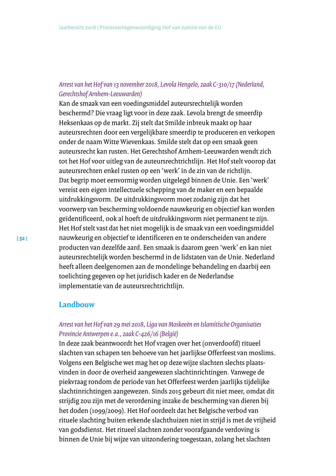## <span id="page-33-0"></span>*Arrest van het Hof van 13 november 2018, Levola Hengelo, zaak C-310/17 (Nederland, Gerechtshof Arnhem-Leeuwarden)*

Kan de smaak van een voedingsmiddel auteursrechtelijk worden beschermd? Die vraag ligt voor in deze zaak. Levola brengt de smeerdip Heksenkaas op de markt. Zij stelt dat Smilde inbreuk maakt op haar auteursrechten door een vergelijkbare smeerdip te produceren en verkopen onder de naam Witte Wievenkaas. Smilde stelt dat op een smaak geen auteursrecht kan rusten. Het Gerechtshof Arnhem-Leeuwarden wendt zich tot het Hof voor uitleg van de auteursrechtrichtlijn. Het Hof stelt voorop dat auteursrechten enkel rusten op een 'werk' in de zin van de richtlijn. Dat begrip moet eenvormig worden uitgelegd binnen de Unie. Een 'werk' vereist een eigen intellectuele schepping van de maker en een bepaalde uitdrukkingsvorm. De uitdrukkingsvorm moet zodanig zijn dat het voorwerp van bescherming voldoende nauwkeurig en objectief kan worden geïdentificeerd, ook al hoeft de uitdrukkingsvorm niet permanent te zijn. Het Hof stelt vast dat het niet mogelijk is de smaak van een voedingsmiddel nauwkeurig en objectief te identificeren en te onderscheiden van andere producten van dezelfde aard. Een smaak is daarom geen 'werk' en kan niet auteursrechtelijk worden beschermd in de lidstaten van de Unie. Nederland heeft alleen deelgenomen aan de mondelinge behandeling en daarbij een toelichting gegeven op het juridisch kader en de Nederlandse implementatie van de auteursrechtrichtlijn.

#### **Landbouw**

## *Arrest van het Hof van 29 mei 2018, Liga van Moskeeën en Islamitische Organisaties Provincie Antwerpen e.a., zaak C-426/16 (België)*

In deze zaak beantwoordt het Hof vragen over het (onverdoofd) ritueel slachten van schapen ten behoeve van het jaarlijkse Offerfeest van moslims. Volgens een Belgische wet mag het op deze wijze slachten slechts plaatsvinden in door de overheid aangewezen slachtinrichtingen. Vanwege de piekvraag rondom de periode van het Offerfeest werden jaarlijks tijdelijke slachtinrichtingen aangewezen. Sinds 2015 gebeurt dit niet meer, omdat dit strijdig zou zijn met de verordening inzake de bescherming van dieren bij het doden (1099/2009). Het Hof oordeelt dat het Belgische verbod van rituele slachting buiten erkende slachthuizen niet in strijd is met de vrijheid van godsdienst. Het ritueel slachten zonder voorafgaande verdoving is binnen de Unie bij wijze van uitzondering toegestaan, zolang het slachten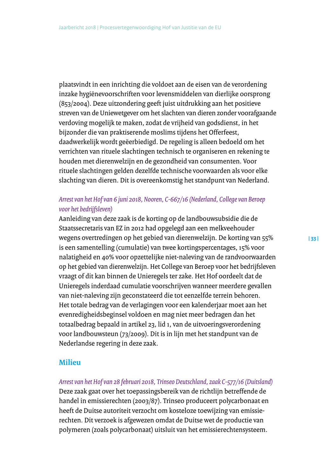<span id="page-34-0"></span>plaatsvindt in een inrichting die voldoet aan de eisen van de verordening inzake hygiënevoorschriften voor levensmiddelen van dierlijke oorsprong (853/2004). Deze uitzondering geeft juist uitdrukking aan het positieve streven van de Uniewetgever om het slachten van dieren zonder voorafgaande verdoving mogelijk te maken, zodat de vrijheid van godsdienst, in het bijzonder die van praktiserende moslims tijdens het Offerfeest, daadwerkelijk wordt geëerbiedigd. De regeling is alleen bedoeld om het verrichten van rituele slachtingen technisch te organiseren en rekening te houden met dierenwelzijn en de gezondheid van consumenten. Voor rituele slachtingen gelden dezelfde technische voorwaarden als voor elke slachting van dieren. Dit is overeenkomstig het standpunt van Nederland.

## *Arrest van het Hof van 6 juni 2018, Nooren, C-667/16 (Nederland, College van Beroep voor het bedrijfsleven)*

Aanleiding van deze zaak is de korting op de landbouwsubsidie die de Staatssecretaris van EZ in 2012 had opgelegd aan een melkveehouder wegens overtredingen op het gebied van dierenwelzijn. De korting van 55% is een samentelling (cumulatie) van twee kortingspercentages, 15% voor nalatigheid en 40% voor opzettelijke niet-naleving van de randvoorwaarden op het gebied van dierenwelzijn. Het College van Beroep voor het bedrijfsleven vraagt of dit kan binnen de Unieregels ter zake. Het Hof oordeelt dat de Unieregels inderdaad cumulatie voorschrijven wanneer meerdere gevallen van niet-naleving zijn geconstateerd die tot eenzelfde terrein behoren. Het totale bedrag van de verlagingen voor een kalenderjaar moet aan het evenredigheidsbeginsel voldoen en mag niet meer bedragen dan het totaalbedrag bepaald in artikel 23, lid 1, van de uitvoeringsverordening voor landbouwsteun (73/2009). Dit is in lijn met het standpunt van de Nederlandse regering in deze zaak.

#### **Milieu**

*Arrest van het Hof van 28 februari 2018, Trinseo Deutschland, zaak C-577/16 (Duitsland)* Deze zaak gaat over het toepassingsbereik van de richtlijn betreffende de handel in emissierechten (2003/87). Trinseo produceert polycarbonaat en heeft de Duitse autoriteit verzocht om kosteloze toewijzing van emissierechten. Dit verzoek is afgewezen omdat de Duitse wet de productie van polymeren (zoals polycarbonaat) uitsluit van het emissierechtensysteem.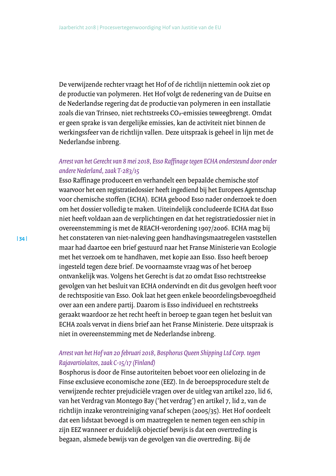De verwijzende rechter vraagt het Hof of de richtlijn niettemin ook ziet op de productie van polymeren. Het Hof volgt de redenering van de Duitse en de Nederlandse regering dat de productie van polymeren in een installatie zoals die van Trinseo, niet rechtstreeks CO<sub>2</sub>-emissies teweegbrengt. Omdat er geen sprake is van dergelijke emissies, kan de activiteit niet binnen de werkingssfeer van de richtlijn vallen. Deze uitspraak is geheel in lijn met de Nederlandse inbreng.

## *Arrest van het Gerecht van 8 mei 2018, Esso Raffinage tegen ECHA ondersteund door onder andere Nederland, zaak T-283/15*

Esso Raffinage produceert en verhandelt een bepaalde chemische stof waarvoor het een registratiedossier heeft ingediend bij het Europees Agentschap voor chemische stoffen (ECHA). ECHA gebood Esso nader onderzoek te doen om het dossier volledig te maken. Uiteindelijk concludeerde ECHA dat Esso niet heeft voldaan aan de verplichtingen en dat het registratiedossier niet in overeenstemming is met de REACH-verordening 1907/2006. ECHA mag bij het constateren van niet-naleving geen handhavingsmaatregelen vaststellen maar had daartoe een brief gestuurd naar het Franse Ministerie van Ecologie met het verzoek om te handhaven, met kopie aan Esso. Esso heeft beroep ingesteld tegen deze brief. De voornaamste vraag was of het beroep ontvankelijk was. Volgens het Gerecht is dat zo omdat Esso rechtstreekse gevolgen van het besluit van ECHA ondervindt en dit dus gevolgen heeft voor de rechtspositie van Esso. Ook laat het geen enkele beoordelingsbevoegdheid over aan een andere partij. Daarom is Esso individueel en rechtstreeks geraakt waardoor ze het recht heeft in beroep te gaan tegen het besluit van ECHA zoals vervat in diens brief aan het Franse Ministerie. Deze uitspraak is niet in overeenstemming met de Nederlandse inbreng.

## *Arrest van het Hof van 20 februari 2018, Bosphorus Queen Shipping Ltd Corp. tegen Rajavartiolaitos, zaak C-15/17 (Finland)*

Bosphorus is door de Finse autoriteiten beboet voor een olielozing in de Finse exclusieve economische zone (EEZ). In de beroepsprocedure stelt de verwijzende rechter prejudiciële vragen over de uitleg van artikel 220, lid 6, van het Verdrag van Montego Bay ('het verdrag') en artikel 7, lid 2, van de richtlijn inzake verontreiniging vanaf schepen (2005/35). Het Hof oordeelt dat een lidstaat bevoegd is om maatregelen te nemen tegen een schip in zijn EEZ wanneer er duidelijk objectief bewijs is dat een overtreding is begaan, alsmede bewijs van de gevolgen van die overtreding. Bij de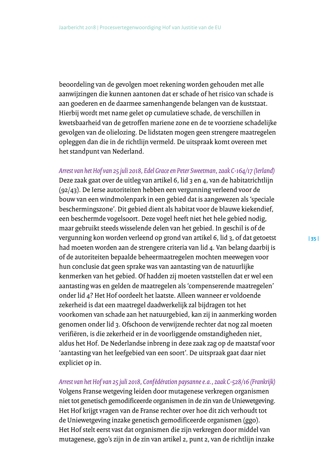beoordeling van de gevolgen moet rekening worden gehouden met alle aanwijzingen die kunnen aantonen dat er schade of het risico van schade is aan goederen en de daarmee samenhangende belangen van de kuststaat. Hierbij wordt met name gelet op cumulatieve schade, de verschillen in kwetsbaarheid van de getroffen mariene zone en de te voorziene schadelijke gevolgen van de olielozing. De lidstaten mogen geen strengere maatregelen opleggen dan die in de richtlijn vermeld. De uitspraak komt overeen met het standpunt van Nederland.

### *Arrest van het Hof van 25 juli 2018, Edel Grace en Peter Sweetman, zaak C-164/17 (Ierland)*

Deze zaak gaat over de uitleg van artikel 6, lid 3 en 4, van de habitatrichtlijn (92/43). De Ierse autoriteiten hebben een vergunning verleend voor de bouw van een windmolenpark in een gebied dat is aangewezen als 'speciale beschermingszone'. Dit gebied dient als habitat voor de blauwe kiekendief, een beschermde vogelsoort. Deze vogel heeft niet het hele gebied nodig, maar gebruikt steeds wisselende delen van het gebied. In geschil is of de vergunning kon worden verleend op grond van artikel 6, lid 3, of dat getoetst had moeten worden aan de strengere criteria van lid 4. Van belang daarbij is of de autoriteiten bepaalde beheermaatregelen mochten meewegen voor hun conclusie dat geen sprake was van aantasting van de natuurlijke kenmerken van het gebied. Of hadden zij moeten vaststellen dat er wel een aantasting was en gelden de maatregelen als 'compenserende maatregelen' onder lid 4? Het Hof oordeelt het laatste. Alleen wanneer er voldoende zekerheid is dat een maatregel daadwerkelijk zal bijdragen tot het voorkomen van schade aan het natuurgebied, kan zij in aanmerking worden genomen onder lid 3. Ofschoon de verwijzende rechter dat nog zal moeten verifiëren, is die zekerheid er in de voorliggende omstandigheden niet, aldus het Hof. De Nederlandse inbreng in deze zaak zag op de maatstaf voor 'aantasting van het leefgebied van een soort'. De uitspraak gaat daar niet expliciet op in.

*Arrest van het Hof van 25 juli 2018, Confédération paysanne e.a., zaak C-528/16 (Frankrijk)* Volgens Franse wetgeving leiden door mutagenese verkregen organismen niet tot genetisch gemodificeerde organismen in de zin van de Uniewetgeving. Het Hof krijgt vragen van de Franse rechter over hoe dit zich verhoudt tot de Uniewetgeving inzake genetisch gemodificeerde organismen (ggo). Het Hof stelt eerst vast dat organismen die zijn verkregen door middel van mutagenese, ggo's zijn in de zin van artikel 2, punt 2, van de richtlijn inzake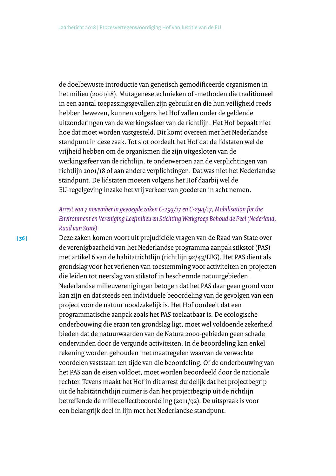de doelbewuste introductie van genetisch gemodificeerde organismen in het milieu (2001/18). Mutagenesetechnieken of -methoden die traditioneel in een aantal toepassingsgevallen zijn gebruikt en die hun veiligheid reeds hebben bewezen, kunnen volgens het Hof vallen onder de geldende uitzonderingen van de werkingssfeer van de richtlijn. Het Hof bepaalt niet hoe dat moet worden vastgesteld. Dit komt overeen met het Nederlandse standpunt in deze zaak. Tot slot oordeelt het Hof dat de lidstaten wel de vrijheid hebben om de organismen die zijn uitgesloten van de werkingssfeer van de richtlijn, te onderwerpen aan de verplichtingen van richtlijn 2001/18 of aan andere verplichtingen. Dat was niet het Nederlandse standpunt. De lidstaten moeten volgens het Hof daarbij wel de EU-regelgeving inzake het vrij verkeer van goederen in acht nemen.

## *Arrest van 7 november in gevoegde zaken C-293/17 en C-294/17, Mobilisation for the Environment en Vereniging Leefmilieu en Stichting Werkgroep Behoud de Peel (Nederland, Raad van State)*

Deze zaken komen voort uit prejudiciële vragen van de Raad van State over de verenigbaarheid van het Nederlandse programma aanpak stikstof (PAS) met artikel 6 van de habitatrichtlijn (richtlijn 92/43/EEG). Het PAS dient als grondslag voor het verlenen van toestemming voor activiteiten en projecten die leiden tot neerslag van stikstof in beschermde natuurgebieden. Nederlandse milieuverenigingen betogen dat het PAS daar geen grond voor kan zijn en dat steeds een individuele beoordeling van de gevolgen van een project voor de natuur noodzakelijk is. Het Hof oordeelt dat een programmatische aanpak zoals het PAS toelaatbaar is. De ecologische onderbouwing die eraan ten grondslag ligt, moet wel voldoende zekerheid bieden dat de natuurwaarden van de Natura 2000-gebieden geen schade ondervinden door de vergunde activiteiten. In de beoordeling kan enkel rekening worden gehouden met maatregelen waarvan de verwachte voordelen vaststaan ten tijde van die beoordeling. Of de onderbouwing van het PAS aan de eisen voldoet, moet worden beoordeeld door de nationale rechter. Tevens maakt het Hof in dit arrest duidelijk dat het projectbegrip uit de habitatrichtlijn ruimer is dan het projectbegrip uit de richtlijn betreffende de milieueffectbeoordeling (2011/92). De uitspraak is voor een belangrijk deel in lijn met het Nederlandse standpunt.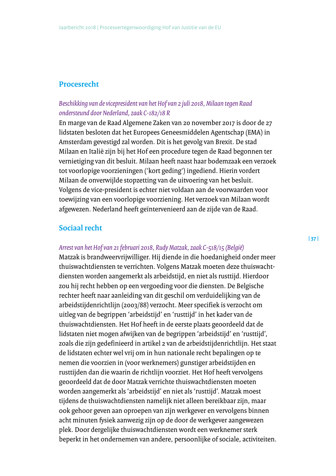## **Procesrecht**

## *Beschikking van de vicepresident van het Hof van 2 juli 2018, Milaan tegen Raad ondersteund door Nederland, zaak C-182/18 R*

En marge van de Raad Algemene Zaken van 20 november 2017 is door de 27 lidstaten besloten dat het Europees Geneesmiddelen Agentschap (EMA) in Amsterdam gevestigd zal worden. Dit is het gevolg van Brexit. De stad Milaan en Italië zijn bij het Hof een procedure tegen de Raad begonnen ter vernietiging van dit besluit. Milaan heeft naast haar bodemzaak een verzoek tot voorlopige voorzieningen ('kort geding') ingediend. Hierin vordert Milaan de onverwijlde stopzetting van de uitvoering van het besluit. Volgens de vice-president is echter niet voldaan aan de voorwaarden voor toewijzing van een voorlopige voorziening. Het verzoek van Milaan wordt afgewezen. Nederland heeft geïntervenieerd aan de zijde van de Raad.

## **Sociaal recht**

### *Arrest van het Hof van 21 februari 2018, Rudy Matzak, zaak C-518/15 (België)*

Matzak is brandweervrijwilliger. Hij diende in die hoedanigheid onder meer thuiswachtdiensten te verrichten. Volgens Matzak moeten deze thuiswachtdiensten worden aangemerkt als arbeidstijd, en niet als rusttijd. Hierdoor zou hij recht hebben op een vergoeding voor die diensten. De Belgische rechter heeft naar aanleiding van dit geschil om verduidelijking van de arbeidstijdenrichtlijn (2003/88) verzocht. Meer specifiek is verzocht om uitleg van de begrippen 'arbeidstijd' en 'rusttijd' in het kader van de thuiswachtdiensten. Het Hof heeft in de eerste plaats geoordeeld dat de lidstaten niet mogen afwijken van de begrippen 'arbeidstijd' en 'rusttijd', zoals die zijn gedefinieerd in artikel 2 van de arbeidstijdenrichtlijn. Het staat de lidstaten echter wel vrij om in hun nationale recht bepalingen op te nemen die voorzien in (voor werknemers) gunstiger arbeidstijden en rusttijden dan die waarin de richtlijn voorziet. Het Hof heeft vervolgens geoordeeld dat de door Matzak verrichte thuiswachtdiensten moeten worden aangemerkt als 'arbeidstijd' en niet als 'rusttijd'. Matzak moest tijdens de thuiswachtdiensten namelijk niet alleen bereikbaar zijn, maar ook gehoor geven aan oproepen van zijn werkgever en vervolgens binnen acht minuten fysiek aanwezig zijn op de door de werkgever aangewezen plek. Door dergelijke thuiswachtdiensten wordt een werknemer sterk beperkt in het ondernemen van andere, persoonlijke of sociale, activiteiten.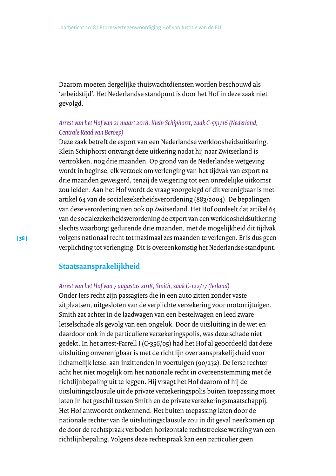Daarom moeten dergelijke thuiswachtdiensten worden beschouwd als 'arbeidstijd'. Het Nederlandse standpunt is door het Hof in deze zaak niet gevolgd.

## *Arrest van het Hof van 21 maart 2018, Klein Schiphorst, zaak C-551/16 (Nederland, Centrale Raad van Beroep)*

Deze zaak betreft de export van een Nederlandse werkloosheidsuitkering. Klein Schiphorst ontvangt deze uitkering nadat hij naar Zwitserland is vertrokken, nog drie maanden. Op grond van de Nederlandse wetgeving wordt in beginsel elk verzoek om verlenging van het tijdvak van export na drie maanden geweigerd, tenzij de weigering tot een onredelijke uitkomst zou leiden. Aan het Hof wordt de vraag voorgelegd of dit verenigbaar is met artikel 64 van de socialezekerheidsverordening (883/2004). De bepalingen van deze verordening zien ook op Zwitserland. Het Hof oordeelt dat artikel 64 van de socialezekerheidsverordening de export van een werkloosheidsuitkering slechts waarborgt gedurende drie maanden, met de mogelijkheid dit tijdvak volgens nationaal recht tot maximaal zes maanden te verlengen. Er is dus geen verplichting tot verlenging. Dit is overeenkomstig het Nederlandse standpunt.

#### **Staatsaansprakelijkheid**

### *Arrest van het Hof van 7 augustus 2018, Smith, zaak C-122/17 (Ierland)*

Onder Iers recht zijn passagiers die in een auto zitten zonder vaste zitplaatsen, uitgesloten van de verplichte verzekering voor motorrijtuigen. Smith zat achter in de laadwagen van een bestelwagen en leed zware letselschade als gevolg van een ongeluk. Door de uitsluiting in de wet en daardoor ook in de particuliere verzekeringspolis, was deze schade niet gedekt. In het arrest-Farrell I (C-356/05) had het Hof al geoordeeld dat deze uitsluiting onverenigbaar is met de richtlijn over aansprakelijkheid voor lichamelijk letsel aan inzittenden in voertuigen (90/232). De Ierse rechter acht het niet mogelijk om het nationale recht in overeenstemming met de richtlijnbepaling uit te leggen. Hij vraagt het Hof daarom of hij de uitsluitingsclausule uit de private verzekeringspolis buiten toepassing moet laten in het geschil tussen Smith en de private verzekeringsmaatschappij. Het Hof antwoordt ontkennend. Het buiten toepassing laten door de nationale rechter van de uitsluitingsclausule zou in dit geval neerkomen op de door de rechtspraak verboden horizontale rechtstreekse werking van een richtlijnbepaling. Volgens deze rechtspraak kan een particulier geen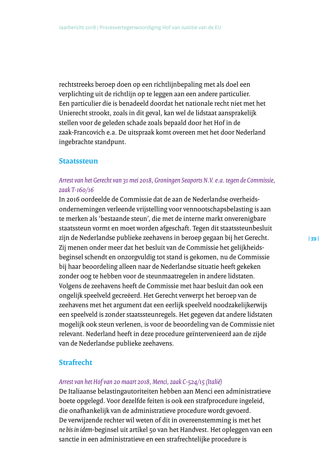rechtstreeks beroep doen op een richtlijnbepaling met als doel een verplichting uit de richtlijn op te leggen aan een andere particulier. Een particulier die is benadeeld doordat het nationale recht niet met het Unierecht strookt, zoals in dit geval, kan wel de lidstaat aansprakelijk stellen voor de geleden schade zoals bepaald door het Hof in de zaak-Francovich e.a. De uitspraak komt overeen met het door Nederland ingebrachte standpunt.

### **Staatssteun**

## *Arrest van het Gerecht van 31 mei 2018, Groningen Seaports N.V. e.a. tegen de Commissie, zaak T-160/16*

In 2016 oordeelde de Commissie dat de aan de Nederlandse overheidsondernemingen verleende vrijstelling voor vennootschapsbelasting is aan te merken als 'bestaande steun', die met de interne markt onverenigbare staatssteun vormt en moet worden afgeschaft. Tegen dit staatssteunbesluit zijn de Nederlandse publieke zeehavens in beroep gegaan bij het Gerecht. Zij menen onder meer dat het besluit van de Commissie het gelijkheidsbeginsel schendt en onzorgvuldig tot stand is gekomen, nu de Commissie bij haar beoordeling alleen naar de Nederlandse situatie heeft gekeken zonder oog te hebben voor de steunmaatregelen in andere lidstaten. Volgens de zeehavens heeft de Commissie met haar besluit dan ook een ongelijk speelveld gecreëerd. Het Gerecht verwerpt het beroep van de zeehavens met het argument dat een eerlijk speelveld noodzakelijkerwijs een speelveld is zonder staatssteunregels. Het gegeven dat andere lidstaten mogelijk ook steun verlenen, is voor de beoordeling van de Commissie niet relevant. Nederland heeft in deze procedure geïntervenieerd aan de zijde van de Nederlandse publieke zeehavens.

## **Strafrecht**

#### *Arrest van het Hof van 20 maart 2018, Menci, zaak C-524/15 (Italië)*

De Italiaanse belastingautoriteiten hebben aan Menci een administratieve boete opgelegd. Voor dezelfde feiten is ook een strafprocedure ingeleid, die onafhankelijk van de administratieve procedure wordt gevoerd. De verwijzende rechter wil weten of dit in overeenstemming is met het *ne bis in idem*-beginsel uit artikel 50 van het Handvest. Het opleggen van een sanctie in een administratieve en een strafrechtelijke procedure is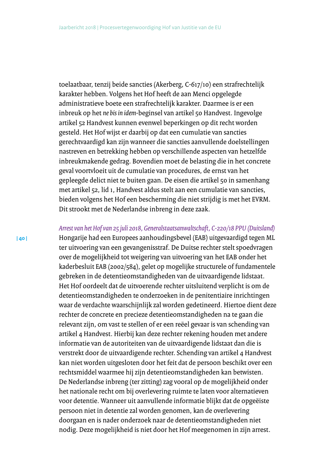toelaatbaar, tenzij beide sancties (Akerberg, C-617/10) een strafrechtelijk karakter hebben. Volgens het Hof heeft de aan Menci opgelegde administratieve boete een strafrechtelijk karakter. Daarmee is er een inbreuk op het *ne bis in idem*-beginsel van artikel 50 Handvest. Ingevolge artikel 52 Handvest kunnen evenwel beperkingen op dit recht worden gesteld. Het Hof wijst er daarbij op dat een cumulatie van sancties gerechtvaardigd kan zijn wanneer die sancties aanvullende doelstellingen nastreven en betrekking hebben op verschillende aspecten van hetzelfde inbreukmakende gedrag. Bovendien moet de belasting die in het concrete geval voortvloeit uit de cumulatie van procedures, de ernst van het gepleegde delict niet te buiten gaan. De eisen die artikel 50 in samenhang met artikel 52, lid 1, Handvest aldus stelt aan een cumulatie van sancties, bieden volgens het Hof een bescherming die niet strijdig is met het EVRM. Dit strookt met de Nederlandse inbreng in deze zaak.

*Arrest van het Hof van 25 juli 2018, Generalstaatsanwaltschaft, C-220/18 PPU (Duitsland)*

Hongarije had een Europees aanhoudingsbevel (EAB) uitgevaardigd tegen ML ter uitvoering van een gevangenisstraf. De Duitse rechter stelt spoedvragen over de mogelijkheid tot weigering van uitvoering van het EAB onder het kaderbesluit EAB (2002/584), gelet op mogelijke structurele of fundamentele gebreken in de detentieomstandigheden van de uitvaardigende lidstaat. Het Hof oordeelt dat de uitvoerende rechter uitsluitend verplicht is om de detentieomstandigheden te onderzoeken in de penitentiaire inrichtingen waar de verdachte waarschijnlijk zal worden gedetineerd. Hiertoe dient deze rechter de concrete en precieze detentieomstandigheden na te gaan die relevant zijn, om vast te stellen of er een reëel gevaar is van schending van artikel 4 Handvest. Hierbij kan deze rechter rekening houden met andere informatie van de autoriteiten van de uitvaardigende lidstaat dan die is verstrekt door de uitvaardigende rechter. Schending van artikel 4 Handvest kan niet worden uitgesloten door het feit dat de persoon beschikt over een rechtsmiddel waarmee hij zijn detentieomstandigheden kan betwisten. De Nederlandse inbreng (ter zitting) zag vooral op de mogelijkheid onder het nationale recht om bij overlevering ruimte te laten voor alternatieven voor detentie. Wanneer uit aanvullende informatie blijkt dat de opgeëiste persoon niet in detentie zal worden genomen, kan de overlevering doorgaan en is nader onderzoek naar de detentieomstandigheden niet nodig. Deze mogelijkheid is niet door het Hof meegenomen in zijn arrest.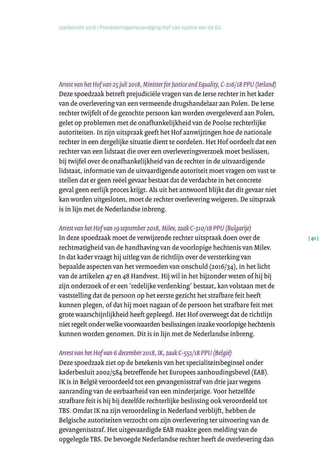#### *Arrest van het Hof van 25 juli 2018, Minister for Justice and Equality, C-216/18 PPU (Ierland)*

Deze spoedzaak betreft prejudiciële vragen van de Ierse rechter in het kader van de overlevering van een vermeende drugshandelaar aan Polen. De Ierse rechter twijfelt of de gezochte persoon kan worden overgeleverd aan Polen, gelet op problemen met de onafhankelijkheid van de Poolse rechterlijke autoriteiten. In zijn uitspraak geeft het Hof aanwijzingen hoe de nationale rechter in een dergelijke situatie dient te oordelen. Het Hof oordeelt dat een rechter van een lidstaat die over een overleveringsverzoek moet beslissen, bij twijfel over de onafhankelijkheid van de rechter in de uitvaardigende lidstaat, informatie van de uitvaardigende autoriteit moet vragen om vast te stellen dat er geen reëel gevaar bestaat dat de verdachte in het concrete geval geen eerlijk proces krijgt. Als uit het antwoord blijkt dat dit gevaar niet kan worden uitgesloten, moet de rechter overlevering weigeren. De uitspraak is in lijn met de Nederlandse inbreng.

## *Arrest van het Hof van 19 september 2018, Milev, zaak C-310/18 PPU (Bulgarije)*

In deze spoedzaak moet de verwijzende rechter uitspraak doen over de rechtmatigheid van de handhaving van de voorlopige hechtenis van Milev. In dat kader vraagt hij uitleg van de richtlijn over de versterking van bepaalde aspecten van het vermoeden van onschuld (2016/34), in het licht van de artikelen 47 en 48 Handvest. Hij wil in het bijzonder weten of hij bij zijn onderzoek of er een 'redelijke verdenking' bestaat, kan volstaan met de vaststelling dat de persoon op het eerste gezicht het strafbare feit heeft kunnen plegen, of dat hij moet nagaan of de persoon het strafbare feit met grote waarschijnlijkheid heeft gepleegd. Het Hof overweegt dat de richtlijn niet regelt onder welke voorwaarden beslissingen inzake voorlopige hechtenis kunnen worden genomen. Dit is in lijn met de Nederlandse inbreng.

#### *Arrest van het Hof van 6 december 2018, IK, zaak C-551/18 PPU (België)*

Deze spoedzaak ziet op de betekenis van het specialiteitsbeginsel onder kaderbesluit 2002/584 betreffende het Europees aanhoudingsbevel (EAB). IK is in België veroordeeld tot een gevangenisstraf van drie jaar wegens aanranding van de eerbaarheid van een minderjarige. Voor hetzelfde strafbare feit is hij bij dezelfde rechterlijke beslissing ook veroordeeld tot TBS. Omdat IK na zijn veroordeling in Nederland verblijft, hebben de Belgische autoriteiten verzocht om zijn overlevering ter uitvoering van de gevangenisstraf. Het uitgevaardigde EAB maakte geen melding van de opgelegde TBS. De bevoegde Nederlandse rechter heeft de overlevering dan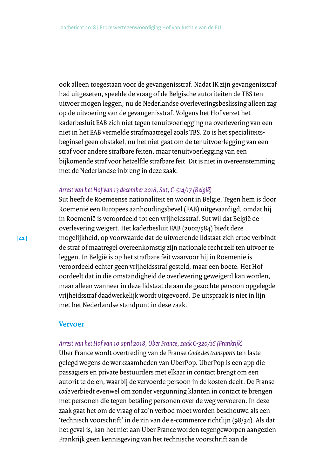ook alleen toegestaan voor de gevangenisstraf. Nadat IK zijn gevangenisstraf had uitgezeten, speelde de vraag of de Belgische autoriteiten de TBS ten uitvoer mogen leggen, nu de Nederlandse overleveringsbeslissing alleen zag op de uitvoering van de gevangenisstraf. Volgens het Hof verzet het kaderbesluit EAB zich niet tegen tenuitvoerlegging na overlevering van een niet in het EAB vermelde strafmaatregel zoals TBS. Zo is het specialiteitsbeginsel geen obstakel, nu het niet gaat om de tenuitvoerlegging van een straf voor andere strafbare feiten, maar tenuitvoerlegging van een bijkomende straf voor hetzelfde strafbare feit. Dit is niet in overeenstemming met de Nederlandse inbreng in deze zaak.

#### *Arrest van het Hof van 13 december 2018, Sut, C-514/17 (België)*

Sut heeft de Roemeense nationaliteit en woont in België. Tegen hem is door Roemenië een Europees aanhoudingsbevel (EAB) uitgevaardigd, omdat hij in Roemenië is veroordeeld tot een vrijheidsstraf. Sut wil dat België de overlevering weigert. Het kaderbesluit EAB (2002/584) biedt deze mogelijkheid, op voorwaarde dat de uitvoerende lidstaat zich ertoe verbindt de straf of maatregel overeenkomstig zijn nationale recht zelf ten uitvoer te leggen. In België is op het strafbare feit waarvoor hij in Roemenië is veroordeeld echter geen vrijheidsstraf gesteld, maar een boete. Het Hof oordeelt dat in die omstandigheid de overlevering geweigerd kan worden, maar alleen wanneer in deze lidstaat de aan de gezochte persoon opgelegde vrijheidsstraf daadwerkelijk wordt uitgevoerd. De uitspraak is niet in lijn met het Nederlandse standpunt in deze zaak.

#### **Vervoer**

#### *Arrest van het Hof van 10 april 2018, Uber France, zaak C-320/16 (Frankrijk)*

Uber France wordt overtreding van de Franse *Code des transports* ten laste gelegd wegens de werkzaamheden van UberPop. UberPop is een app die passagiers en private bestuurders met elkaar in contact brengt om een autorit te delen, waarbij de vervoerde persoon in de kosten deelt. De Franse *code* verbiedt evenwel om zonder vergunning klanten in contact te brengen met personen die tegen betaling personen over de weg vervoeren. In deze zaak gaat het om de vraag of zo'n verbod moet worden beschouwd als een 'technisch voorschrift' in de zin van de e-commerce richtlijn (98/34). Als dat het geval is, kan het niet aan Uber France worden tegengeworpen aangezien Frankrijk geen kennisgeving van het technische voorschrift aan de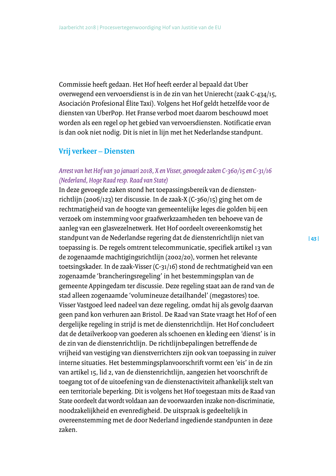Commissie heeft gedaan. Het Hof heeft eerder al bepaald dat Uber overwegend een vervoersdienst is in de zin van het Unierecht (zaak C-434/15, Asociación Profesional Élite Taxi). Volgens het Hof geldt hetzelfde voor de diensten van UberPop. Het Franse verbod moet daarom beschouwd moet worden als een regel op het gebied van vervoersdiensten. Notificatie ervan is dan ook niet nodig. Dit is niet in lijn met het Nederlandse standpunt.

## **Vrij verkeer – Diensten**

## *Arrest van het Hof van 30 januari 2018, X en Visser, gevoegde zaken C-360/15 en C-31/16 (Nederland, Hoge Raad resp. Raad van State)*

In deze gevoegde zaken stond het toepassingsbereik van de dienstenrichtlijn (2006/123) ter discussie. In de zaak-X (C-360/15) ging het om de rechtmatigheid van de hoogte van gemeentelijke leges die golden bij een verzoek om instemming voor graafwerkzaamheden ten behoeve van de aanleg van een glasvezelnetwerk. Het Hof oordeelt overeenkomstig het standpunt van de Nederlandse regering dat de dienstenrichtlijn niet van toepassing is. De regels omtrent telecommunicatie, specifiek artikel 13 van de zogenaamde machtigingsrichtlijn (2002/20), vormen het relevante toetsingskader. In de zaak-Visser (C-31/16) stond de rechtmatigheid van een zogenaamde 'brancheringsregeling' in het bestemmingsplan van de gemeente Appingedam ter discussie. Deze regeling staat aan de rand van de stad alleen zogenaamde 'volumineuze detailhandel' (megastores) toe. Visser Vastgoed leed nadeel van deze regeling, omdat hij als gevolg daarvan geen pand kon verhuren aan Bristol. De Raad van State vraagt het Hof of een dergelijke regeling in strijd is met de dienstenrichtlijn. Het Hof concludeert dat de detailverkoop van goederen als schoenen en kleding een 'dienst' is in de zin van de dienstenrichtlijn. De richtlijnbepalingen betreffende de vrijheid van vestiging van dienstverrichters zijn ook van toepassing in zuiver interne situaties. Het bestemmingsplanvoorschrift vormt een 'eis' in de zin van artikel 15, lid 2, van de dienstenrichtlijn, aangezien het voorschrift de toegang tot of de uitoefening van de dienstenactiviteit afhankelijk stelt van een territoriale beperking. Dit is volgens het Hof toegestaan mits de Raad van State oordeelt dat wordt voldaan aan de voorwaarden inzake non-discriminatie, noodzakelijkheid en evenredigheid. De uitspraak is gedeeltelijk in overeenstemming met de door Nederland ingediende standpunten in deze zaken.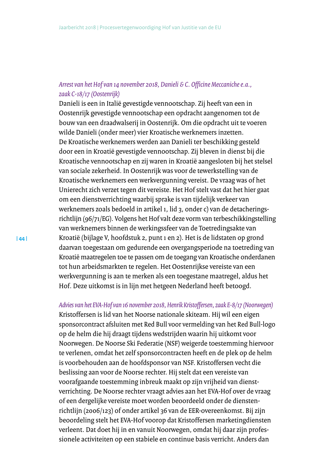## *Arrest van het Hof van 14 november 2018, Danieli & C. Officine Meccaniche e.a., zaak C-18/17 (Oostenrijk)*

Danieli is een in Italië gevestigde vennootschap. Zij heeft van een in Oostenrijk gevestigde vennootschap een opdracht aangenomen tot de bouw van een draadwalserij in Oostenrijk. Om die opdracht uit te voeren wilde Danieli (onder meer) vier Kroatische werknemers inzetten. De Kroatische werknemers werden aan Danieli ter beschikking gesteld door een in Kroatië gevestigde vennootschap. Zij bleven in dienst bij die Kroatische vennootschap en zij waren in Kroatië aangesloten bij het stelsel van sociale zekerheid. In Oostenrijk was voor de tewerkstelling van de Kroatische werknemers een werkvergunning vereist. De vraag was of het Unierecht zich verzet tegen dit vereiste. Het Hof stelt vast dat het hier gaat om een dienstverrichting waarbij sprake is van tijdelijk verkeer van werknemers zoals bedoeld in artikel 1, lid 3, onder c) van de detacheringsrichtlijn (96/71/EG). Volgens het Hof valt deze vorm van terbeschikkingstelling van werknemers binnen de werkingssfeer van de Toetredingsakte van Kroatië (bijlage V, hoofdstuk 2, punt 1 en 2). Het is de lidstaten op grond daarvan toegestaan om gedurende een overgangsperiode na toetreding van Kroatië maatregelen toe te passen om de toegang van Kroatische onderdanen tot hun arbeidsmarkten te regelen. Het Oostenrijkse vereiste van een werkvergunning is aan te merken als een toegestane maatregel, aldus het Hof. Deze uitkomst is in lijn met hetgeen Nederland heeft betoogd.

*Advies van het EVA-Hof van 16 november 2018, Henrik Kristoffersen, zaak E-8/17 (Noorwegen)*

Kristoffersen is lid van het Noorse nationale skiteam. Hij wil een eigen sponsorcontract afsluiten met Red Bull voor vermelding van het Red Bull-logo op de helm die hij draagt tijdens wedstrijden waarin hij uitkomt voor Noorwegen. De Noorse Ski Federatie (NSF) weigerde toestemming hiervoor te verlenen, omdat het zelf sponsorcontracten heeft en de plek op de helm is voorbehouden aan de hoofdsponsor van NSF. Kristoffersen vecht die beslissing aan voor de Noorse rechter. Hij stelt dat een vereiste van voorafgaande toestemming inbreuk maakt op zijn vrijheid van dienstverrichting. De Noorse rechter vraagt advies aan het EVA-Hof over de vraag of een dergelijke vereiste moet worden beoordeeld onder de dienstenrichtlijn (2006/123) of onder artikel 36 van de EER-overeenkomst. Bij zijn beoordeling stelt het EVA-Hof voorop dat Kristoffersen marketingdiensten verleent. Dat doet hij in en vanuit Noorwegen, omdat hij daar zijn professionele activiteiten op een stabiele en continue basis verricht. Anders dan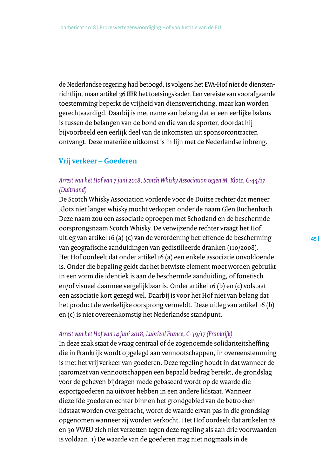de Nederlandse regering had betoogd, is volgens het EVA-Hof niet de dienstenrichtlijn, maar artikel 36 EER het toetsingskader. Een vereiste van voorafgaande toestemming beperkt de vrijheid van dienstverrichting, maar kan worden gerechtvaardigd. Daarbij is met name van belang dat er een eerlijke balans is tussen de belangen van de bond en die van de sporter, doordat hij bijvoorbeeld een eerlijk deel van de inkomsten uit sponsorcontracten ontvangt. Deze materiële uitkomst is in lijn met de Nederlandse inbreng.

#### **Vrij verkeer – Goederen**

## *Arrest van het Hof van 7 juni 2018, Scotch Whisky Association tegen M. Klotz, C-44/17 (Duitsland)*

De Scotch Whisky Association vorderde voor de Duitse rechter dat meneer Klotz niet langer whisky mocht verkopen onder de naam Glen Buchenbach. Deze naam zou een associatie oproepen met Schotland en de beschermde oorsprongsnaam Scotch Whisky. De verwijzende rechter vraagt het Hof uitleg van artikel 16 (a)-(c) van de verordening betreffende de bescherming van geografische aanduidingen van gedistilleerde dranken (110/2008). Het Hof oordeelt dat onder artikel 16 (a) een enkele associatie onvoldoende is. Onder die bepaling geldt dat het betwiste element moet worden gebruikt in een vorm die identiek is aan de beschermde aanduiding, of fonetisch en/of visueel daarmee vergelijkbaar is. Onder artikel 16 (b) en (c) volstaat een associatie kort gezegd wel. Daarbij is voor het Hof niet van belang dat het product de werkelijke oorsprong vermeldt. Deze uitleg van artikel 16 (b) en (c) is niet overeenkomstig het Nederlandse standpunt.

#### *Arrest van het Hof van 14 juni 2018, Lubrizol France, C-39/17 (Frankrijk)*

In deze zaak staat de vraag centraal of de zogenoemde solidariteitsheffing die in Frankrijk wordt opgelegd aan vennootschappen, in overeenstemming is met het vrij verkeer van goederen. Deze regeling houdt in dat wanneer de jaaromzet van vennootschappen een bepaald bedrag bereikt, de grondslag voor de geheven bijdragen mede gebaseerd wordt op de waarde die exportgoederen na uitvoer hebben in een andere lidstaat. Wanneer diezelfde goederen echter binnen het grondgebied van de betrokken lidstaat worden overgebracht, wordt de waarde ervan pas in die grondslag opgenomen wanneer zij worden verkocht. Het Hof oordeelt dat artikelen 28 en 30 VWEU zich niet verzetten tegen deze regeling als aan drie voorwaarden is voldaan. 1) De waarde van de goederen mag niet nogmaals in de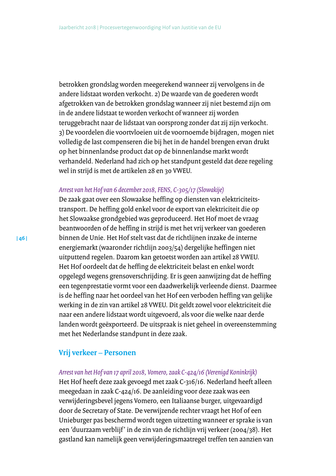betrokken grondslag worden meegerekend wanneer zij vervolgens in de andere lidstaat worden verkocht. 2) De waarde van de goederen wordt afgetrokken van de betrokken grondslag wanneer zij niet bestemd zijn om in de andere lidstaat te worden verkocht of wanneer zij worden teruggebracht naar de lidstaat van oorsprong zonder dat zij zijn verkocht. 3) De voordelen die voortvloeien uit de voornoemde bijdragen, mogen niet volledig de last compenseren die bij het in de handel brengen ervan drukt op het binnenlandse product dat op de binnenlandse markt wordt verhandeld. Nederland had zich op het standpunt gesteld dat deze regeling wel in strijd is met de artikelen 28 en 30 VWEU.

#### *Arrest van het Hof van 6 december 2018, FENS, C-305/17 (Slowakije)*

De zaak gaat over een Slowaakse heffing op diensten van elektriciteitstransport. De heffing gold enkel voor de export van elektriciteit die op het Slowaakse grondgebied was geproduceerd. Het Hof moet de vraag beantwoorden of de heffing in strijd is met het vrij verkeer van goederen binnen de Unie. Het Hof stelt vast dat de richtlijnen inzake de interne energiemarkt (waaronder richtlijn 2003/54) dergelijke heffingen niet uitputtend regelen. Daarom kan getoetst worden aan artikel 28 VWEU. Het Hof oordeelt dat de heffing de elektriciteit belast en enkel wordt opgelegd wegens grensoverschrijding. Er is geen aanwijzing dat de heffing een tegenprestatie vormt voor een daadwerkelijk verleende dienst. Daarmee is de heffing naar het oordeel van het Hof een verboden heffing van gelijke werking in de zin van artikel 28 VWEU. Dit geldt zowel voor elektriciteit die naar een andere lidstaat wordt uitgevoerd, als voor die welke naar derde landen wordt geëxporteerd. De uitspraak is niet geheel in overeenstemming met het Nederlandse standpunt in deze zaak.

## **Vrij verkeer – Personen**

#### *Arrest van het Hof van 17 april 2018, Vomero, zaak C-424/16 (Verenigd Koninkrijk)*

Het Hof heeft deze zaak gevoegd met zaak C-316/16. Nederland heeft alleen meegedaan in zaak C-424/16. De aanleiding voor deze zaak was een verwijderingsbevel jegens Vomero, een Italiaanse burger, uitgevaardigd door de Secretary of State. De verwijzende rechter vraagt het Hof of een Unieburger pas beschermd wordt tegen uitzetting wanneer er sprake is van een 'duurzaam verblijf' in de zin van de richtlijn vrij verkeer (2004/38). Het gastland kan namelijk geen verwijderingsmaatregel treffen ten aanzien van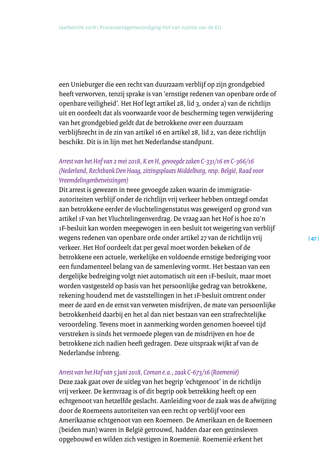een Unieburger die een recht van duurzaam verblijf op zijn grondgebied heeft verworven, tenzij sprake is van 'ernstige redenen van openbare orde of openbare veiligheid'. Het Hof legt artikel 28, lid 3, onder a) van de richtlijn uit en oordeelt dat als voorwaarde voor de bescherming tegen verwijdering van het grondgebied geldt dat de betrokkene over een duurzaam verblijfsrecht in de zin van artikel 16 en artikel 28, lid 2, van deze richtlijn beschikt. Dit is in lijn met het Nederlandse standpunt.

## *Arrest van het Hof van 2 mei 2018, K en H, gevoegde zaken C-331/16 en C-366/16 (Nederland, Rechtbank Den Haag, zittingsplaats Middelburg, resp. België, Raad voor Vreemdelingenbetwistingen)*

Dit arrest is gewezen in twee gevoegde zaken waarin de immigratieautoriteiten verblijf onder de richtlijn vrij verkeer hebben ontzegd omdat aan betrokkene eerder de vluchtelingenstatus was geweigerd op grond van artikel 1F van het Vluchtelingenverdrag. De vraag aan het Hof is hoe zo'n 1F-besluit kan worden meegewogen in een besluit tot weigering van verblijf wegens redenen van openbare orde onder artikel 27 van de richtlijn vrij verkeer. Het Hof oordeelt dat per geval moet worden bekeken of de betrokkene een actuele, werkelijke en voldoende ernstige bedreiging voor een fundamenteel belang van de samenleving vormt. Het bestaan van een dergelijke bedreiging volgt niet automatisch uit een 1F-besluit, maar moet worden vastgesteld op basis van het persoonlijke gedrag van betrokkene, rekening houdend met de vaststellingen in het 1F-besluit omtrent onder meer de aard en de ernst van verweten misdrijven, de mate van persoonlijke betrokkenheid daarbij en het al dan niet bestaan van een strafrechtelijke veroordeling. Tevens moet in aanmerking worden genomen hoeveel tijd verstreken is sinds het vermoede plegen van de misdrijven en hoe de betrokkene zich nadien heeft gedragen. Deze uitspraak wijkt af van de Nederlandse inbreng.

#### *Arrest van het Hof van 5 juni 2018, Coman e.a., zaak C-673/16 (Roemenië)*

Deze zaak gaat over de uitleg van het begrip 'echtgenoot' in de richtlijn vrij verkeer. De kernvraag is of dit begrip ook betrekking heeft op een echtgenoot van hetzelfde geslacht. Aanleiding voor de zaak was de afwijzing door de Roemeens autoriteiten van een recht op verblijf voor een Amerikaanse echtgenoot van een Roemeen. De Amerikaan en de Roemeen (beiden man) waren in België getrouwd, hadden daar een gezinsleven opgebouwd en wilden zich vestigen in Roemenië. Roemenië erkent het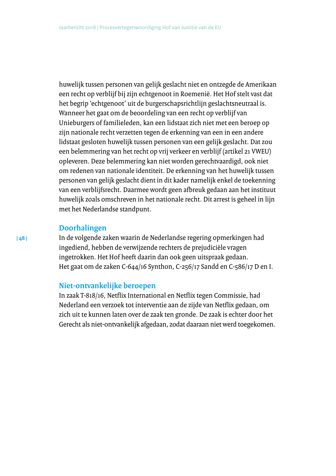huwelijk tussen personen van gelijk geslacht niet en ontzegde de Amerikaan een recht op verblijf bij zijn echtgenoot in Roemenië. Het Hof stelt vast dat het begrip 'echtgenoot' uit de burgerschapsrichtlijn geslachtsneutraal is. Wanneer het gaat om de beoordeling van een recht op verblijf van Unieburgers of familieleden, kan een lidstaat zich niet met een beroep op zijn nationale recht verzetten tegen de erkenning van een in een andere lidstaat gesloten huwelijk tussen personen van een gelijk geslacht. Dat zou een belemmering van het recht op vrij verkeer en verblijf (artikel 21 VWEU) opleveren. Deze belemmering kan niet worden gerechtvaardigd, ook niet om redenen van nationale identiteit. De erkenning van het huwelijk tussen personen van gelijk geslacht dient in dit kader namelijk enkel de toekenning van een verblijfsrecht. Daarmee wordt geen afbreuk gedaan aan het instituut huwelijk zoals omschreven in het nationale recht. Dit arrest is geheel in lijn met het Nederlandse standpunt.

### **Doorhalingen**

In de volgende zaken waarin de Nederlandse regering opmerkingen had ingediend, hebben de verwijzende rechters de prejudiciële vragen ingetrokken. Het Hof heeft daarin dan ook geen uitspraak gedaan. Het gaat om de zaken C-644/16 Synthon, C-256/17 Sandd en C-586/17 D en I.

## **Niet-ontvankelijke beroepen**

In zaak T-818/16, Netflix International en Netflix tegen Commissie, had Nederland een verzoek tot interventie aan de zijde van Netflix gedaan, om zich uit te kunnen laten over de zaak ten gronde. De zaak is echter door het Gerecht als niet-ontvankelijk afgedaan, zodat daaraan niet werd toegekomen.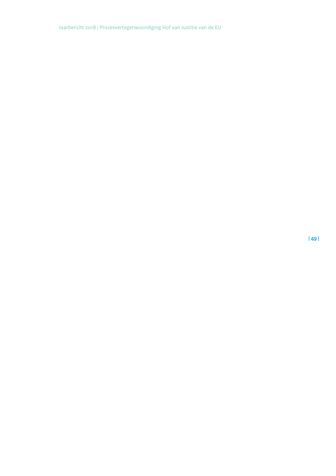Jaarbericht 2018 | Procesvertegenwoordiging Hof van Justitie van de EU

**| 49 |**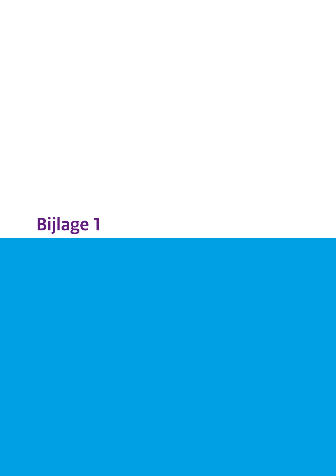# **Bijlage 1**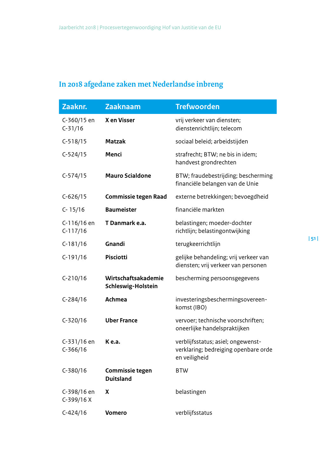## **In 2018 afgedane zaken met Nederlandse inbreng**

| Zaaknr.                    | <b>Zaaknaam</b>                           | <b>Trefwoorden</b>                                                                          |
|----------------------------|-------------------------------------------|---------------------------------------------------------------------------------------------|
| C-360/15 en<br>$C-31/16$   | X en Visser                               | vrij verkeer van diensten;<br>dienstenrichtlijn; telecom                                    |
| $C-518/15$                 | Matzak                                    | sociaal beleid; arbeidstijden                                                               |
| $C-524/15$                 | Menci                                     | strafrecht; BTW; ne bis in idem;<br>handvest grondrechten                                   |
| $C-574/15$                 | <b>Mauro Scialdone</b>                    | BTW; fraudebestrijding; bescherming<br>financiële belangen van de Unie                      |
| $C-626/15$                 | Commissie tegen Raad                      | externe betrekkingen; bevoegdheid                                                           |
| $C - 15/16$                | <b>Baumeister</b>                         | financiële markten                                                                          |
| C-116/16 en<br>$C-117/16$  | T Danmark e.a.                            | belastingen; moeder-dochter<br>richtlijn; belastingontwijking                               |
| $C-181/16$                 | Gnandi                                    | terugkeerrichtlijn                                                                          |
| $C-191/16$                 | Pisciotti                                 | gelijke behandeling; vrij verkeer van<br>diensten; vrij verkeer van personen                |
| $C-210/16$                 | Wirtschaftsakademie<br>Schleswig-Holstein | bescherming persoonsgegevens                                                                |
| $C-284/16$                 | Achmea                                    | investeringsbeschermingsovereen-<br>komst (IBO)                                             |
| $C-320/16$                 | Uber France                               | vervoer; technische voorschriften;<br>oneerlijke handelspraktijken                          |
| C-331/16 en<br>$C-366/16$  | K e.a.                                    | verblijfsstatus; asiel; ongewenst-<br>verklaring; bedreiging openbare orde<br>en veiligheid |
| $C-380/16$                 | Commissie tegen<br><b>Duitsland</b>       | <b>BTW</b>                                                                                  |
| C-398/16 en<br>$C-399/16X$ | x                                         | belastingen                                                                                 |
| $C-424/16$                 | Vomero                                    | verblijfsstatus                                                                             |

**| 51 |**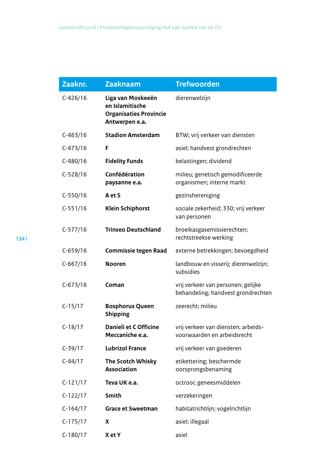| Zaaknr.    | <b>Zaaknaam</b>                                                                         | <b>Trefwoorden</b>                                                       |
|------------|-----------------------------------------------------------------------------------------|--------------------------------------------------------------------------|
| $C-426/16$ | Liga van Moskeeën<br>en Islamitische<br><b>Organisaties Provincie</b><br>Antwerpen e.a. | dierenwelzijn                                                            |
| C-463/16   | <b>Stadion Amsterdam</b>                                                                | BTW; vrij verkeer van diensten                                           |
| $C-473/16$ | F                                                                                       | asiel; handvest grondrechten                                             |
| $C-480/16$ | <b>Fidelity Funds</b>                                                                   | belastingen; dividend                                                    |
| C-528/16   | Confédération<br>paysanne e.a.                                                          | milieu; genetisch gemodificeerde<br>organismen; interne markt            |
| C-550/16   | A et S                                                                                  | gezinshereniging                                                         |
| $C-551/16$ | Klein Schiphorst                                                                        | sociale zekerheid; 330; vrij verkeer<br>van personen                     |
| C-577/16   | <b>Trinseo Deutschland</b>                                                              | broeikasgasemissierechten;<br>rechtstreekse werking                      |
| $C-659/16$ | Commissie tegen Raad                                                                    | externe betrekkingen; bevoegdheid                                        |
| C-667/16   | Nooren                                                                                  | landbouw en visserij; dierenwelzijn;<br>subsidies                        |
| C-673/16   | Coman                                                                                   | vrij verkeer van personen; gelijke<br>behandeling; handvest grondrechten |
| C-15/17    | <b>Bosphorus Queen</b><br>Shipping                                                      | zeerecht: milieu                                                         |
| $C-18/17$  | Danieli et C Officine<br>Meccaniche e.a.                                                | vrij verkeer van diensten; arbeids-<br>voorwaarden en arbeidsrecht       |
| C-39/17    | <b>Lubrizol France</b>                                                                  | vrij verkeer van goederen                                                |
| $C-44/17$  | The Scotch Whisky<br><b>Association</b>                                                 | etikettering; beschermde<br>oorsprongsbenaming                           |
| C-121/17   | Teva UK e.a.                                                                            | octrooi; geneesmiddelen                                                  |
| $C-122/17$ | Smith                                                                                   | verzekeringen                                                            |
| $C-164/17$ | <b>Grace et Sweetman</b>                                                                | habitatrichtlijn; vogelrichtlijn                                         |
| C-175/17   | x                                                                                       | asiel; illegaal                                                          |
| $C-180/17$ | X et Y                                                                                  | asiel                                                                    |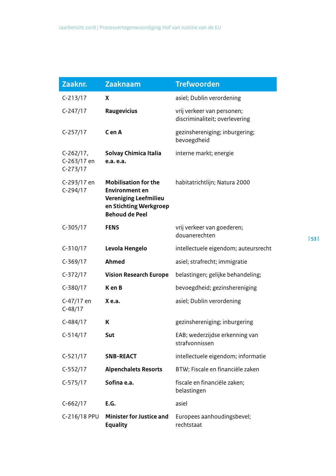| Zaaknr.                                  | Zaaknaam                                                                                                                                | <b>Trefwoorden</b>                                           |
|------------------------------------------|-----------------------------------------------------------------------------------------------------------------------------------------|--------------------------------------------------------------|
| $C-213/17$                               | x                                                                                                                                       | asiel; Dublin verordening                                    |
| $C-247/17$                               | Raugevicius                                                                                                                             | vrij verkeer van personen;<br>discriminaliteit; overlevering |
| $C-257/17$                               | C en A                                                                                                                                  | gezinshereniging; inburgering;<br>bevoegdheid                |
| $C-262/17,$<br>C-263/17 en<br>$C-273/17$ | Solvay Chimica Italia<br>e.a. e.a.                                                                                                      | interne markt; energie                                       |
| C-293/17 en<br>$C-294/17$                | <b>Mobilisation for the</b><br><b>Environment en</b><br><b>Vereniging Leefmilieu</b><br>en Stichting Werkgroep<br><b>Behoud de Peel</b> | habitatrichtlijn; Natura 2000                                |
| $C-305/17$                               | FENS                                                                                                                                    | vrij verkeer van goederen;<br>douanerechten                  |
| $C-310/17$                               | Levola Hengelo                                                                                                                          | intellectuele eigendom; auteursrecht                         |
| $C-369/17$                               | Ahmed                                                                                                                                   | asiel; strafrecht; immigratie                                |
| C-372/17                                 | <b>Vision Research Europe</b>                                                                                                           | belastingen; gelijke behandeling;                            |
| C-380/17                                 | K en B                                                                                                                                  | bevoegdheid; gezinshereniging                                |
| C-47/17 en<br>$C-48/17$                  | X e.a.                                                                                                                                  | asiel; Dublin verordening                                    |
| C-484/17                                 | К                                                                                                                                       | gezinshereniging; inburgering                                |
| $C-514/17$                               | Sut                                                                                                                                     | EAB; wederzijdse erkenning van<br>strafvonnissen             |
| $C-521/17$                               | <b>SNB-REACT</b>                                                                                                                        | intellectuele eigendom; informatie                           |
| $C-552/17$                               | <b>Alpenchalets Resorts</b>                                                                                                             | BTW; Fiscale en financiële zaken                             |
| $C-575/17$                               | Sofina e.a.                                                                                                                             | fiscale en financiële zaken;<br>belastingen                  |
| $C-662/17$                               | E.G.                                                                                                                                    | asiel                                                        |
| C-216/18 PPU                             | <b>Minister for Justice and</b><br><b>Equality</b>                                                                                      | Europees aanhoudingsbevel;<br>rechtstaat                     |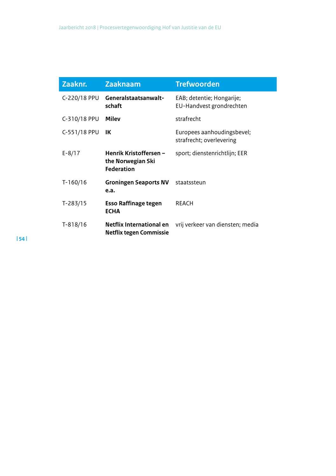| Zaaknr.      | <b>Zaaknaam</b>                                                  | <b>Trefwoorden</b>                                     |
|--------------|------------------------------------------------------------------|--------------------------------------------------------|
| C-220/18 PPU | Generalstaatsanwalt-<br>schaft                                   | EAB; detentie; Hongarije;<br>EU-Handvest grondrechten  |
| C-310/18 PPU | Milev                                                            | strafrecht                                             |
| C-551/18 PPU | ۱К                                                               | Europees aanhoudingsbevel;<br>strafrecht; overlevering |
| $E - 8/17$   | Henrik Kristoffersen –<br>the Norwegian Ski<br><b>Federation</b> | sport; dienstenrichtlijn; EER                          |
| $T-160/16$   | <b>Groningen Seaports NV</b> staatssteun<br>e.a.                 |                                                        |
| T-283/15     | <b>Esso Raffinage tegen</b><br>ECHA                              | REACH                                                  |
| T-818/16     | Netflix International en<br>Netflix tegen Commissie              | vrij verkeer van diensten; media                       |

**| 54 |**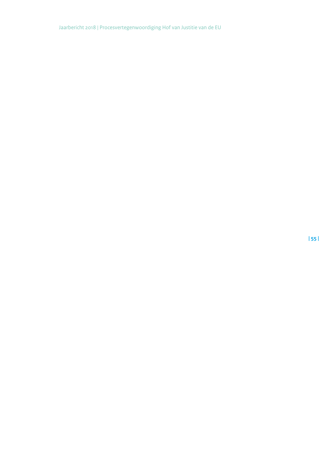Jaarbericht 2018 | Procesvertegenwoordiging Hof van Justitie van de EU

**| 55 |**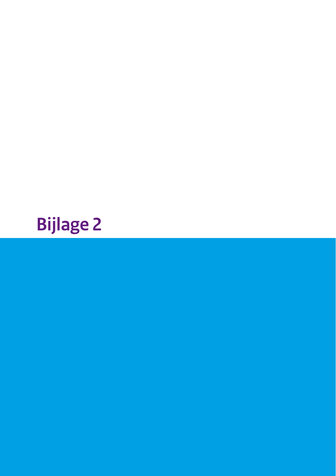# **Bijlage 2**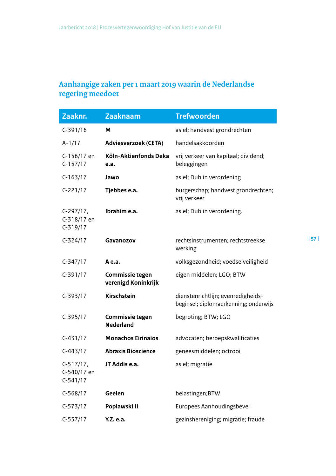## **Aanhangige zaken per 1 maart 2019 waarin de Nederlandse regering meedoet**

| Zaaknr.                                  | <b>Zaaknaam</b>                        | <b>Trefwoorden</b>                                                          |
|------------------------------------------|----------------------------------------|-----------------------------------------------------------------------------|
| $C-391/16$                               | М                                      | asiel; handvest grondrechten                                                |
| $A-1/17$                                 | Adviesverzoek (CETA)                   | handelsakkoorden                                                            |
| C-156/17 en<br>$C-157/17$                | Köln-Aktienfonds Deka<br>e.a.          | vrij verkeer van kapitaal; dividend;<br>beleggingen                         |
| $C-163/17$                               | Jawo                                   | asiel; Dublin verordening                                                   |
| $C-221/17$                               | Tiebbes e.a.                           | burgerschap; handvest grondrechten;<br>vrij verkeer                         |
| $C-297/17,$<br>C-318/17 en<br>$C-319/17$ | Ibrahim e.a.                           | asiel; Dublin verordening.                                                  |
| $C-324/17$                               | Gavanozov                              | rechtsinstrumenten; rechtstreekse<br>werking                                |
| $C-347/17$                               | A e.a.                                 | volksgezondheid; voedselveiligheid                                          |
| $C-391/17$                               | Commissie tegen<br>verenigd Koninkrijk | eigen middelen; LGO; BTW                                                    |
| $C-393/17$                               | Kirschstein                            | dienstenrichtlijn; evenredigheids-<br>beginsel; diplomaerkenning; onderwijs |
| $C-395/17$                               | Commissie tegen<br>Nederland           | begroting; BTW; LGO                                                         |
| $C-431/17$                               | <b>Monachos Eirinaios</b>              | advocaten; beroepskwalificaties                                             |
| $C-443/17$                               | <b>Abraxis Bioscience</b>              | geneesmiddelen; octrooi                                                     |
| $C-517/17,$<br>C-540/17 en<br>$C-541/17$ | JT Addis e.a.                          | asiel; migratie                                                             |
| $C-568/17$                               | Geelen                                 | belastingen;BTW                                                             |
| $C-573/17$                               | Poplawski II                           | Europees Aanhoudingsbevel                                                   |
| $C-557/17$                               | Y.Z. e.a.                              | gezinshereniging; migratie; fraude                                          |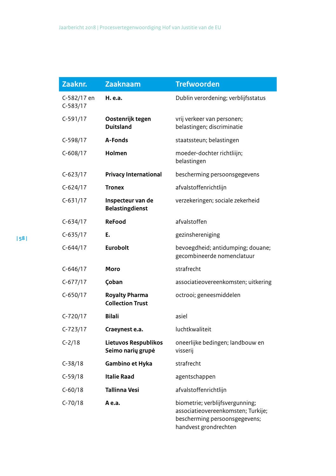| Zaaknr.                   | <b>Zaaknaam</b>                                  | <b>Trefwoorden</b>                                                                                                              |
|---------------------------|--------------------------------------------------|---------------------------------------------------------------------------------------------------------------------------------|
| C-582/17 en<br>$C-583/17$ | H. e.a.                                          | Dublin verordening; verblijfsstatus                                                                                             |
| C-591/17                  | Oostenrijk tegen<br><b>Duitsland</b>             | vrij verkeer van personen;<br>belastingen; discriminatie                                                                        |
| C-598/17                  | A-Fonds                                          | staatssteun; belastingen                                                                                                        |
| $C-608/17$                | Holmen                                           | moeder-dochter richtliijn;<br>belastingen                                                                                       |
| $C-623/17$                | <b>Privacy International</b>                     | bescherming persoonsgegevens                                                                                                    |
| $C-624/17$                | <b>Tronex</b>                                    | afvalstoffenrichtlijn                                                                                                           |
| $C-631/17$                | Inspecteur van de<br><b>Belastingdienst</b>      | verzekeringen; sociale zekerheid                                                                                                |
| C-634/17                  | ReFood                                           | afvalstoffen                                                                                                                    |
| C-635/17                  | Е.                                               | gezinshereniging                                                                                                                |
| $C-644/17$                | <b>Eurobolt</b>                                  | bevoegdheid; antidumping; douane;<br>gecombineerde nomenclatuur                                                                 |
| C-646/17                  | Moro                                             | strafrecht                                                                                                                      |
| C-677/17                  | Çoban                                            | associatieovereenkomsten; uitkering                                                                                             |
| C-650/17                  | <b>Royalty Pharma</b><br><b>Collection Trust</b> | octrooi; geneesmiddelen                                                                                                         |
| C-720/17                  | Bilali                                           | asiel                                                                                                                           |
| C-723/17                  | Craeynest e.a.                                   | luchtkwaliteit                                                                                                                  |
| $C-2/18$                  | Lietuvos Respublikos<br>Seimo narių grupė        | oneerlijke bedingen; landbouw en<br>visserij                                                                                    |
| $C-38/18$                 | Gambino et Hyka                                  | strafrecht                                                                                                                      |
| C-59/18                   | <b>Italie Raad</b>                               | agentschappen                                                                                                                   |
| $C-60/18$                 | <b>Tallinna Vesi</b>                             | afvalstoffenrichtlijn                                                                                                           |
| $C-70/18$                 | A e.a.                                           | biometrie; verblijfsvergunning;<br>associatieovereenkomsten; Turkije;<br>bescherming persoonsgegevens;<br>handvest grondrechten |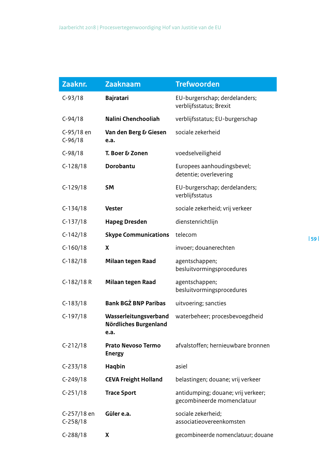| Zaaknr.                   | <b>Zaaknaam</b>                                        | <b>Trefwoorden</b>                                               |
|---------------------------|--------------------------------------------------------|------------------------------------------------------------------|
| $C-93/18$                 | Bajratari                                              | EU-burgerschap; derdelanders;<br>verblijfsstatus; Brexit         |
| $C-94/18$                 | Nalini Chenchooliah                                    | verblijfsstatus; EU-burgerschap                                  |
| C-95/18 en<br>$C-96/18$   | Van den Berg & Giesen<br>e.a.                          | sociale zekerheid                                                |
| $C-98/18$                 | T. Boer & Zonen                                        | voedselveiligheid                                                |
| $C-128/18$                | Dorobantu                                              | Europees aanhoudingsbevel;<br>detentie; overlevering             |
| C-129/18                  | SM.                                                    | EU-burgerschap; derdelanders;<br>verblijfsstatus                 |
| C-134/18                  | Vester                                                 | sociale zekerheid; vrij verkeer                                  |
| C-137/18                  | Hapeg Dresden                                          | dienstenrichtlijn                                                |
| C-142/18                  | <b>Skype Communications</b>                            | telecom                                                          |
| $C-160/18$                | x                                                      | invoer; douanerechten                                            |
| $C-182/18$                | Milaan tegen Raad                                      | agentschappen;<br>besluitvormingsprocedures                      |
| C-182/18 R                | Milaan tegen Raad                                      | agentschappen;<br>besluitvormingsprocedures                      |
| $C-183/18$                | <b>Bank BGŻ BNP Paribas</b>                            | uitvoering; sancties                                             |
| C-197/18                  | Wasserleitungsverband<br>Nördliches Burgenland<br>e.a. | waterbeheer; procesbevoegdheid                                   |
| C-212/18                  | <b>Prato Nevoso Termo</b><br><b>Energy</b>             | afvalstoffen; hernieuwbare bronnen                               |
| $C-233/18$                | Haqbin                                                 | asiel                                                            |
| C-249/18                  | <b>CEVA Freight Holland</b>                            | belastingen; douane; vrij verkeer                                |
| $C-251/18$                | <b>Trace Sport</b>                                     | antidumping; douane; vrij verkeer;<br>gecombineerde momenclatuur |
| C-257/18 en<br>$C-258/18$ | Güler e.a.                                             | sociale zekerheid;<br>associatieovereenkomsten                   |
| $C-288/18$                | x                                                      | gecombineerde nomenclatuur; douane                               |

**| 59 |**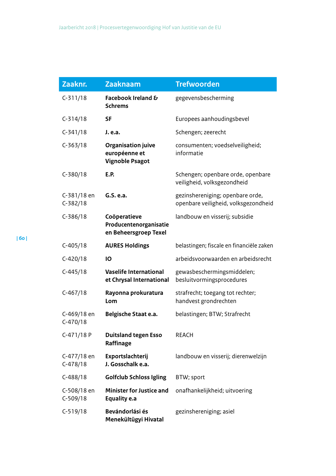| Zaaknr.                   | <b>Zaaknaam</b>                                                 | <b>Trefwoorden</b>                                                       |
|---------------------------|-----------------------------------------------------------------|--------------------------------------------------------------------------|
| $C-311/18$                | Facebook Ireland &<br><b>Schrems</b>                            | gegevensbescherming                                                      |
| C-314/18                  | SF                                                              | Europees aanhoudingsbevel                                                |
| $C-341/18$                | J. e.a.                                                         | Schengen; zeerecht                                                       |
| $C-363/18$                | Organisation juive<br>européenne et<br><b>Vignoble Psagot</b>   | consumenten; voedselveiligheid;<br>informatie                            |
| C-380/18                  | E.P.                                                            | Schengen; openbare orde, openbare<br>veiligheid, volksgezondheid         |
| C-381/18 en<br>$C-382/18$ | G.S. e.a.                                                       | gezinshereniging; openbare orde,<br>openbare veiligheid, volksgezondheid |
| C-386/18                  | Coöperatieve<br>Producentenorganisatie<br>en Beheersgroep Texel | landbouw en visserij; subsidie                                           |
| $C-405/18$                | <b>AURES Holdings</b>                                           | belastingen; fiscale en financiële zaken                                 |
| $C-420/18$                | IO                                                              | arbeidsvoorwaarden en arbeidsrecht                                       |
| $C-445/18$                | <b>Vaselife International</b><br>et Chrysal International       | gewasbeschermingsmiddelen;<br>besluitvormingsprocedures                  |
| $C-467/18$                | Rayonna prokuratura<br>Lom                                      | strafrecht; toegang tot rechter;<br>handvest grondrechten                |
| C-469/18 en<br>$C-470/18$ | Belgische Staat e.a.                                            | belastingen; BTW; Strafrecht                                             |
| C-471/18 P                | <b>Duitsland tegen Esso</b><br>Raffinage                        | REACH                                                                    |
| C-477/18 en<br>$C-478/18$ | Exportslachterij<br>J. Gosschalk e.a.                           | landbouw en visserij; dierenwelzijn                                      |
| $C-488/18$                | <b>Golfclub Schloss Igling</b>                                  | BTW; sport                                                               |
| C-508/18 en<br>$C-509/18$ | <b>Minister for Justice and</b><br><b>Equality e.a</b>          | onafhankelijkheid; uitvoering                                            |
| $C-519/18$                | Bevándorlási és<br>Menekültügyi Hivatal                         | gezinshereniging; asiel                                                  |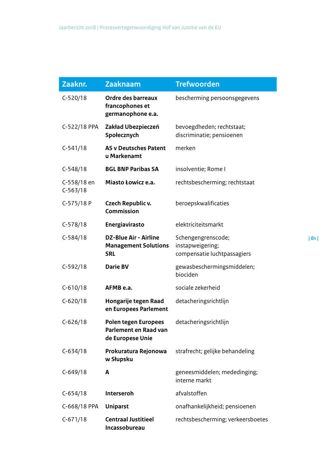| Zaaknr.                   | <b>Zaaknaam</b>                                                   | <b>Trefwoorden</b>                                                    |
|---------------------------|-------------------------------------------------------------------|-----------------------------------------------------------------------|
| $C-520/18$                | Ordre des barreaux<br>francophones et<br>germanophone e.a.        | bescherming persoonsgegevens                                          |
| C-522/18 PPA              | Zakład Ubezpieczeń<br>Społecznych                                 | bevoegdheden; rechtstaat;<br>discriminatie; pensioenen                |
| $C-541/18$                | <b>AS v Deutsches Patent</b><br>u Markenamt                       | merken                                                                |
| $C-548/18$                | <b>BGL BNP Paribas SA</b>                                         | insolventie; Rome I                                                   |
| C-558/18 en<br>$C-563/18$ | Miasto Łowicz e.a.                                                | rechtsbescherming; rechtstaat                                         |
| C-575/18 P                | Czech Republic v.<br>Commission                                   | beroepskwalificaties                                                  |
| $C-578/18$                | Energiavirasto                                                    | elektriciteitsmarkt                                                   |
| $C-584/18$                | DZ-Blue Air - Airline<br><b>Management Solutions</b><br>SRL       | Schengengrenscode;<br>instapweigering;<br>compensatie luchtpassagiers |
| $C-592/18$                | <b>Darie BV</b>                                                   | gewasbeschermingsmiddelen;<br>biociden                                |
| $C-610/18$                | AFMB e.a.                                                         | sociale zekerheid                                                     |
| $C-620/18$                | Hongarije tegen Raad<br>en Europees Parlement                     | detacheringsrichtlijn                                                 |
| C-626/18                  | Polen tegen Europees<br>Parlement en Raad van<br>de Europese Unie | detacheringsrichtlijn                                                 |
| $C-634/18$                | Prokuratura Rejonowa<br>w Słupsku                                 | strafrecht; gelijke behandeling                                       |
| $C-649/18$                | Α                                                                 | geneesmiddelen; mededinging;<br>interne markt                         |
| $C-654/18$                | Interseroh                                                        | afvalstoffen                                                          |
| C-668/18 PPA              | <b>Uniparst</b>                                                   | onafhankelijkheid; pensioenen                                         |
| C-671/18                  | <b>Centraal Justitieel</b><br>Incassobureau                       | rechtsbescherming; verkeersboetes                                     |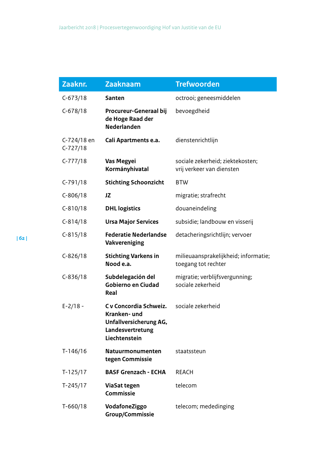| Zaaknr.                   | <b>Zaaknaam</b>                                                                                       | <b>Trefwoorden</b>                                            |
|---------------------------|-------------------------------------------------------------------------------------------------------|---------------------------------------------------------------|
| $C-673/18$                | Santen                                                                                                | octrooi; geneesmiddelen                                       |
| C-678/18                  | Procureur-Generaal bij<br>de Hoge Raad der<br>Nederlanden                                             | bevoegdheid                                                   |
| C-724/18 en<br>$C-727/18$ | Cali Apartments e.a.                                                                                  | dienstenrichtlijn                                             |
| $C-777/18$                | Vas Megyei<br>Kormányhivatal                                                                          | sociale zekerheid; ziektekosten;<br>vrij verkeer van diensten |
| C-791/18                  | <b>Stichting Schoonzicht</b>                                                                          | <b>BTW</b>                                                    |
| $C-806/18$                | JZ                                                                                                    | migratie; strafrecht                                          |
| C-810/18                  | <b>DHL</b> logistics                                                                                  | douaneindeling                                                |
| $C-814/18$                | <b>Ursa Major Services</b>                                                                            | subsidie; landbouw en visserij                                |
| C-815/18                  | <b>Federatie Nederlandse</b><br>Vakvereniging                                                         | detacheringsrichtlijn; vervoer                                |
| C-826/18                  | <b>Stichting Varkens in</b><br>Nood e.a.                                                              | milieuaansprakelijkheid; informatie;<br>toegang tot rechter   |
| C-836/18                  | Subdelegación del<br>Gobierno en Ciudad<br>Real                                                       | migratie; verblijfsvergunning;<br>sociale zekerheid           |
| $E - 2/18 -$              | C v Concordia Schweiz.<br>Kranken- und<br>Unfallversicherung AG,<br>Landesvertretung<br>Liechtenstein | sociale zekerheid                                             |
| T-146/16                  | Natuurmonumenten<br>tegen Commissie                                                                   | staatssteun                                                   |
| T-125/17                  | <b>BASF Grenzach - ECHA</b>                                                                           | REACH                                                         |
| $T-245/17$                | ViaSat tegen<br>Commissie                                                                             | telecom                                                       |
| $T-660/18$                | VodafoneZiggo<br><b>Group/Commissie</b>                                                               | telecom; mededinging                                          |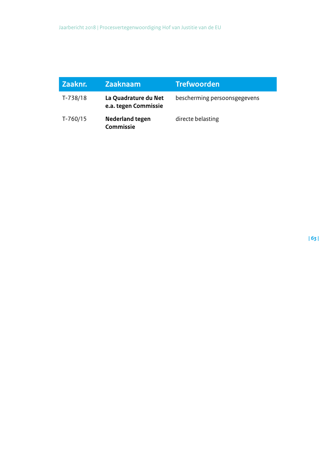| Zaaknr.  | <b>Zaaknaam</b>                              | <b>Trefwoorden</b>           |
|----------|----------------------------------------------|------------------------------|
| T-738/18 | La Quadrature du Net<br>e.a. tegen Commissie | bescherming persoonsgegevens |
| T-760/15 | <b>Nederland tegen</b><br>Commissie          | directe belasting            |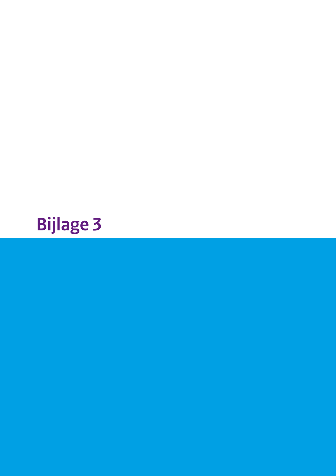# **Bijlage 3**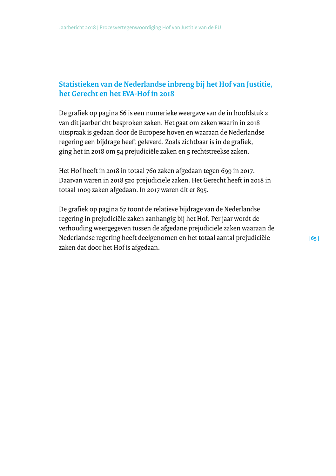## **Statistieken van de Nederlandse inbreng bij het Hof van Justitie, het Gerecht en het EVA-Hof in 2018**

De grafiek op pagina 66 is een numerieke weergave van de in hoofdstuk 2 van dit jaarbericht besproken zaken. Het gaat om zaken waarin in 2018 uitspraak is gedaan door de Europese hoven en waaraan de Nederlandse regering een bijdrage heeft geleverd. Zoals zichtbaar is in de grafiek, ging het in 2018 om 54 prejudiciële zaken en 5 rechtstreekse zaken.

Het Hof heeft in 2018 in totaal 760 zaken afgedaan tegen 699 in 2017. Daarvan waren in 2018 520 prejudiciële zaken. Het Gerecht heeft in 2018 in totaal 1009 zaken afgedaan. In 2017 waren dit er 895.

De grafiek op pagina 67 toont de relatieve bijdrage van de Nederlandse regering in prejudiciële zaken aanhangig bij het Hof. Per jaar wordt de verhouding weergegeven tussen de afgedane prejudiciële zaken waaraan de Nederlandse regering heeft deelgenomen en het totaal aantal prejudiciële zaken dat door het Hof is afgedaan.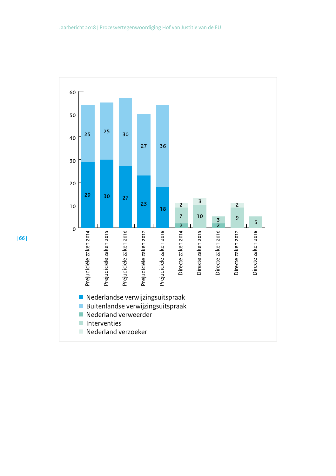

**| 66 |**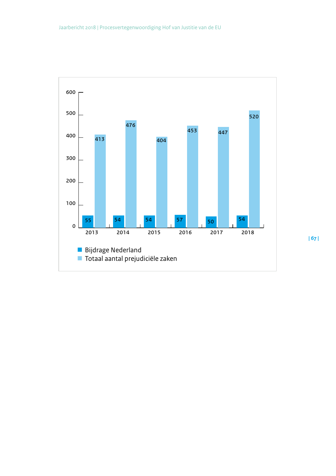

**| 67 |**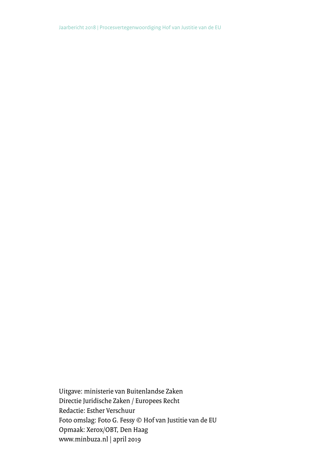Jaarbericht 2018 | Procesvertegenwoordiging Hof van Justitie van de EU

Uitgave: ministerie van Buitenlandse Zaken Directie Juridische Zaken / Europees Recht Redactie: Esther Verschuur Foto omslag: Foto G. Fessy © Hof van Justitie van de EU Opmaak: Xerox/OBT, Den Haag [www.minbuza.nl](http://www.minbuza.nl) | april 2019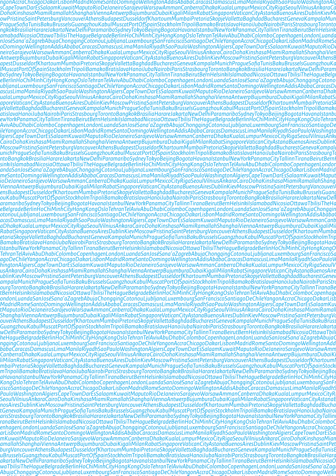*ngonAccraChicagoDakarLisbonMadridRomeSantoDomingoWellingtonAddisAbabaCaracasDamascusLimaManilaRiyadhSaoPauloWashingtonAlgier sCapeTownDarEsSalaamKuwaitMaputoRioDeJaneiroSarajevoWarsawAmmanCanberraDhakaKualaLumpurMexicoCityRigaSeoulVilniusAnkaraCairo DohaKinshasaMiamiRamallahShanghaiViennaAntwerpBujumburaDubaiKigaliMilanRabatSingaporeVaticanCityAstanaBuenosAiresDublinKievMosc owPristinaSaintPetersburgVancouverAthensBudapestDusseldorfKhartoumMumbaiPretoriaSkopjeVallettaBaghdadBucharestGenevaKampalaMunich PragueSofiaTunisBakuBrusselsGuangzhouKabulMuscatPortOfSpainStockholmTripoliBamakoBratislavaHanoiJubaNairobiParisStrasbourgTorontoBa* ngkokBrasiliaHarareJakartaNewDelhiParamariboSydneyTokyoBeij<u>i</u>ngBogotaHavanaIstanbulNewYorkPanamaCityTallinnTiranaBeirutBernHelsink *amabadNicosiaOttawaTbilisiTheHagueBelgradeBerlinHoChiMinhCityHongKongOsloTehranTelAvivAbuDhabiColomboCopenhagenLondonLuandaSa nJoséSana'aZagrebAbujaChongqingCotonouLjubljanaLuxembourgSanFranciscoSantiagoDeChileYangonAccraChicagoDakarLisbonMadridRomeSant oDomingoWellingtonAddisAbabaCaracasDamascusLimaManilaRiyadhSaoPauloWashingtonAlgiersCapeTownDarEsSalaamKuwaitMaputoRioDeJa neiroSarajevoWarsawAmmanCanberraDhakaKualaLumpurMexicoCityRigaSeoulVilniusAnkaraCairoDohaKinshasaMiamiRamallahShanghaiVienna AntwerpBujumburaDubaiKigaliMilanRabatSingaporeVaticanCityAstanaBuenosAiresDublinKievMoscowPristinaSaintPetersburgVancouverAthensBud apestDusseldorfKhartoumMumbaiPretoriaSkopjeVallettaBaghdadBucharestGenevaKampalaMunichPragueSofiaTunisBakuBrusselsGuangzhouKabu lMuscatPortOfSpainStockholmTripoliBamakoBratislavaHanoiJubaNairobiParisStrasbourgTorontoBangkokBrasiliaHarareJakartaNewDelhiParamari boSydneyTokyoBeijingBogotaHavanaIstanbulNewYorkPanamaCityTallinnTiranaBeirutBernHelsinkiIslamabadNicosiaOttawaTbilisiTheHagueBelgrad* nHoChiMinhCityHongKongOsloTehranTelAvivAbuDhabiColomboCopenhagenLondonLuandaSanJoséSana'aZa<br>iaLuxembourgSanFranciscoSantiagoDeChileYangonAccraChicagoDakarLisbonMadridRomeSantoDomingoWel *ubljanaLuxembourgSanFranciscoSantiagoDeChileYangonAccraChicagoDakarLisbonMadridRomeSantoDomingoWellingtonAddisAbabaCaracasDam ascusLimaManilaRiyadhSaoPauloWashingtonAlgiersCapeTownDarEsSalaamKuwaitMaputoRioDeJaneiroSarajevoWarsawAmmanCanberraDhakaK ualaLumpurMexicoCityRigaSeoulVilniusAnkaraCairoDohaKinshasaMiamiRamallahShanghaiViennaAntwerpBujumburaDubaiKigaliMilanRabatSing aporeVaticanCityAstanaBuenosAiresDublinKievMoscowPristinaSaintPetersburgVancouverAthensBudapestDusseldorfKhartoumMumbaiPretoriaSkop jeVallettaBaghdadBucharestGenevaKampalaMunichPragueSofiaTunisBakuBrusselsGuangzhouKabulMuscatPortOfSpainStockholmTripoliBamakoBr atislavaHanoiJubaNairobiParisStrasbourgTorontoBangkokBrasiliaHarareJakartaNewDelhiParamariboSydneyTokyoBeijingBogotaHavanaIstanbulN ewYorkPanamaCityTallinnTiranaBeirutBernHelsinkiIslamabadNicosiaOttawaTbilisiTheHagueBelgradeBerlinHoChiMinhCityHongKongOsloTehranTel AvivAbuDhabiColomboCopenhagenLondonLuandaSanJoséSana'aZagrebAbujaChongqingCotonouLjubljanaLuxembourgSanFranciscoSantiagoDeCh ileYangonAccraChicagoDakarLisbonMadridRomeSantoDomingoWellingtonAddisAbabaCaracasDamascusLimaManilaRiyadhSaoPauloWashingtonA lgiersCapeTownDarEsSalaamKuwaitMaputoRioDeJaneiroSarajevoWarsawAmmanCanberraDhakaKualaLumpurMexicoCityRigaSeoulVilniusAnkara CairoDohaKinshasaMiamiRamallahShanghaiViennaAntwerpBujumburaDubaiKigaliMilanRabatSingaporeVaticanCityAstanaBuenosAiresDublinKiev* MoscowPristinaSaintPetersburgVancouverAthensBudapestDusseldorfKhartoumMumbaiPretoriaSkopjeVallettaBaghdadBucharestGenevaKampa<u>l</u> *unichPragueSofiaTunisBakuBrusselsGuangzhouKabulMuscatPortOfSpainStockholmTripoliBamakoBratislavaHanoiJubaNairobiParisStrasbourgToro* BrasiliaHarareJakartaNewDelhiParamari*b*<br>vadNicosiaOttawaTbilisiTheHaaueBelarad BerlinHoChiMinhCityHongKongOsloTehranTelA<br>blianaLuxembourgSanFranciscoSantiagoDeChil *andaSanJoséSana'aZagrebAbujaChongqingCotonouLjubljanaLuxembourgSanFranciscoSantiagoDeChileYangonAccraChicagoDakarLisbonMadridRo* meSantoDomingoWellingtonAddisAbabaCaracasDamascusLimaManilaRiyadhSaoPauloWashingtonAlgiersCapeTownDarEsSalaamKuwaitMaput<br>ioDeJaneiroSarajevoWarsawAmmanCanberraDhakaKualaLumpurMexicoCityRigaSeoulVilniusAnkaraCairoDohaKinsha *ViennaAntwerpBujumburaDubaiKigaliMilanRabatSingaporeVaticanCityAstanaBuenosAiresDublinKievMoscowPristinaSaintPetersburgVancouverAth ensBudapestDusseldorfKhartoumMumbaiPretoriaSkopjeVallettaBaghdadBucharestGenevaKampalaMunichPragueSofiaTunisBakuBrusselsGuangzh* ipainStockholmTripoliBamakoBratislavaHanoiJubaNairobiParisStrasbourgTorontoBai<br>BeijinaBogotaHavangIstanbulNewYorkPanamaCityTallinnTiranaBeirutBernHelsinkiIs *aramariboSydneyTokyoBeijingBogotaHavanaIstanbulNewYorkPanamaCityTallinnTiranaBeirutBernHelsinkiIslamabadNicosiaOttawaTbilisiTheHagu eBelgradeBerlinHoChiMinhCityHongKongOsloTehranTelAvivAbuDhabiColomboCopenhagenLondonLuandaSanJoséSana'aZagrebAbujaChongqingC* otonouLjubljanaLuxembourgSanFranciscoSantiagoDeChileYangonAccraChicagoDakarLisbonMadridRomeSantoDomingoWellingtonAddisAbaba<br>acasDamascusLimaManilaRiyadhSaoPauloWashingtonAlgiersCapeTownDarEsSalaamKuwaitMaputoRioDeJaneiroSa KualaLumpurMexicoCityRigaSeoulVilniusAnkaraCairoDohaKinshasaMiamiRamallahShanghaiViennaAntwer<br>naaporeVaticanCitvAstanaBuenosAiresDublinKievMoscowPristinaSaintPetersburaVancouverAthensBudapestl *RabatSingaporeVaticanCityAstanaBuenosAiresDublinKievMoscowPristinaSaintPetersburgVancouverAthensBudapestDusseldorfKhartoumMumbaiPr etoriaSkopjeVallettaBaghdadBucharestGenevaKampalaMunichPragueSofiaTunisBakuBrusselsGuangzhouKabulMuscatPortOfSpainStockholmTripoli* BamakoBratislavaHanoiJubaNairobiParisStrasbourgTorontoBangkokBrasiliaHarareJakartaNewDelhiParamarib<br>IstanbulNewYorkPanamaCityTallinnTiranaBeirutBernHelsinbiIslamabadNicosiaOttawaTbilisiTheHagueBelgrade *IstanbulNewYorkPanamaCityTallinnTiranaBeirutBernHelsinkiIslamabadNicosiaOttawaTbilisiTheHagueBelgradeBerlinHoChiMinhCityHongKongOslo* TehranTelAvivAbuDhabiColomboCopenhagenLondonLuandaSanJoséSana'aZagrebAbujaChongqingCotonouL<br>agoDeChileYangonAccraChicagoDakarLisbonMadridRomeSantoDomingoWellingtonAddisAbabaCaracasDari *agoDeChileYangonAccraChicagoDakarLisbonMadridRomeSantoDomingoWellingtonAddisAbabaCaracasDamascusLimaManilaRiyadhSaoPauloWas hingtonAlgiersCapeTownDarEsSalaamKuwaitMaputoRioDeJaneiroSarajevoWarsawAmmanCanberraDhakaKualaLumpurMexicoCityRigaSeoulVilni usAnkaraCairoDohaKinshasaMiamiRamallahShanghaiViennaAntwerpBujumburaDubaiKigaliMilanRabatSingaporeVaticanCityAstanaBuenosAiresD ublinKievMoscowPristinaSaintPetersburgVancouverAthensBudapestDusseldorfKhartoumMumbaiPretoriaSkopjeVallettaBaghdadBucharestGenevaK ampalaMunichPragueSofiaTunisBakuBrusselsGuangzhouKabulMuscatPortOfSpainStockholmTripoliBamakoBratislavaHanoiJubaNairobiParisStrasb ourgTorontoBangkokBrasiliaHarareJakartaNewDelhiParamariboSydneyTokyoBeijingBogotaHavanaIstanbulNewYorkPanamaCityTallinnTiranaBeiru* BernHelsinkiIslamabadNicosiaOttawaTbilisiTheHagueBelgradeBérlinHoChîMinhCityHongKongOsloTehran<br>ndonLuandaSanJoséSana'aZaarebAbuiaChongqingCotonouLjublianaLuxembourqSanFranciscoSantiaqoD *ondonLuandaSanJoséSana'aZagrebAbujaChongqingCotonouLjubljanaLuxembourgSanFranciscoSantiagoDeChileYangonAccraChicagoDakarLisbon MadridRomeSantoDomingoWellingtonAddisAbabaCaracasDamascusLimaManilaRiyadhSaoPauloWashingtonAlgiersCapeTownDarEsSalaamKuwai tMaputoRioDeJaneiroSarajevoWarsawAmmanCanberraDhakaKualaLumpurMexicoCityRigaSeoulVilniusAnkaraCairoDohaKinshasaMiamiRamallah ShanghaiViennaAntwerpBujumburaDubaiKigaliMilanRabatSingaporeVaticanCityAstanaBuenosAiresDublinKievMoscowPristinaSaintPetersburgVanc ouverAthensBudapestDusseldorfKhartoumMumbaiPretoriaSkopjeVallettaBaghdadBucharestGenevaKampalaMunichPragueSofiaTunisBakuBrussels GuangzhouKabulMuscatPortOfSpainStockholmTripoliBamakoBratislavaHanoiJubaNairobiParisStrasbourgTorontoBangkokBrasiliaHarareJakartaNe wDelhiParamariboSydneyTokyoBeijingBogotaHavanaIstanbulNewYorkPanamaCityTallinnTiranaBeirutBernHelsinkiIslamabadNicosiaOttawaTbilisiT heHagueBelgradeBerlinHoChiMinhCityHongKongOsloTehranTelAvivAbuDhabiColomboCopenhagenLondonLuandaSanJoséSana'aZagrebAbujaCho* .<br>iotonouLjubljanaLuxembourgSanFranciscoSantiagoDeChileYangonAccraChicagoDakarLisbonMadridRomeSantoDomin<br>racasDamascusLimaManilaRiyadhSaoPauloWashinatonAlgiersCaneTownDarEsSalaamKuwaitManutoRioDeJaneiroSarc *babaCaracasDamascusLimaManilaRiyadhSaoPauloWashingtonAlgiersCapeTownDarEsSalaamKuwaitMaputoRioDeJaneiroSarajevoWarsawAmman CanberraDhakaKualaLumpurMexicoCityRigaSeoulVilniusAnkaraCairoDohaKinshasaMiamiRamallahShanghaiViennaAntwerpBujumburaDubaiKiga liMilanRabatSingaporeVaticanCityAstanaBuenosAiresDublinKievMoscowPristinaSaintPetersburgVancouverAthensBudapestDusseldorfKhartoumMu* .<br>kopjeVallettaBaghdadBucharestGenevaKampalaMunichPragueSofiaTunisBakuBrusselsGuang;<br>koRratislavaHanoiJuhaNairobiParisStrasbouraTorontoBanakokBrasiliaHarareJakartaNewDelh *mTripoliBamakoBratislavaHanoiJubaNairobiParisStrasbourgTorontoBangkokBrasiliaHarareJakartaNewDelhiParamariboSydneyTokyoBeijingBogot aHavanaIstanbulNewYorkPanamaCityTallinnTiranaBeirutBernHelsinkiIslamabadNicosiaOttawaTbilisiTheHagueBelgradeBerlinHoChiMinhCityHong KongOsloTehranTelAvivAbuDhabiColomboCopenhagenLondonLuandaSanJoséSana'aZagrebAbujaChongqingCotonouLjubljanaLuxembourgSanFran ciscoSantiagoDeChileYangonAccraChicagoDakarLisbonMadridRomeSantoDomingoWellingtonAddisAbabaCaracasDamascusLimaManilaRiyadhSao PauloWashingtonAlgiersCapeTownDarEsSalaamKuwaitMaputoRioDeJaneiroSarajevoWarsawAmmanCanberraDhakaKualaLumpurMexicoCityRiga SeoulVilniusAnkaraCairoDohaKinshasaMiamiRamallahShanghaiViennaAntwerpBujumburaDubaiKigaliMilanRabatSingaporeVaticanCityAstanaBue nosAiresDublinKievMoscowPristinaSaintPetersburgVancouverAthensBudapestDusseldorfKhartoumMumbaiPretoriaSkopjeVallettaBaghdadBuchares tGenevaKampalaMunichPragueSofiaTunisBakuBrusselsGuangzhouKabulMuscatPortOfSpainStockholmTripoliBamakoBratislavaHanoiJubaNairobiP* ourgTorontoBangkokBrasiliaHarareJakartaNewDelhiParamariboSydneyTokyoBeijingBogotaHavanaIstanbulNewYork<br>tBernHelsinkiIslamabadNicosiaOttawaTbilisiTheHaaueBelaradeBerlinHoChiMinhCityHonaKonaOsloTehranTelAvivAb *ranaBeirutBernHelsinkiIslamabadNicosiaOttawaTbilisiTheHagueBelgradeBerlinHoChiMinhCityHongKongOsloTehranTelAvivAbuDhabiColomboCop enhagenLondonLuandaSanJoséSana'aZagrebAbujaChongqingCotonouLjubljanaLuxembourgSanFranciscoSantiagoDeChileYangonAccraChicagoDak arLisbonMadridRomeSantoDomingoWellingtonAddisAbabaCaracasDamascusLimaManilaRiyadhSaoPauloWashingtonAlgiersCapeTownDarEsSalaa mKuwaitMaputoRioDeJaneiroSarajevoWarsawAmmanCanberraDhakaKualaLumpurMexicoCityRigaSeoulVilniusAnkaraCairoDohaKinshasaMiamiR amallahShanghaiViennaAntwerpBujumburaDubaiKigaliMilanRabatSingaporeVaticanCityAstanaBuenosAiresDublinKievMoscowPristinaSaintPeters burgVancouverAthensBudapestDusseldorfKhartoumMumbaiPretoriaSkopjeVallettaBaghdadBucharestGenevaKampalaMunichPragueSofiaTunisBak uBrusselsGuangzhouKabulMuscatPortOfSpainStockholmTripoliBamakoBratislavaHanoiJubaNairobiParisStrasbourgTorontoBangkokBrasiliaHarareJ* kartaNewDelhiParamariboSydneyTokyoBeijingBogotaHavanaIstanbulNewYorkPanamaCityTallinnTiranaBeirutBernHe<br><sup>,</sup>aTbilisiTheHaaueBelaradeBerlinHoChiMinhCityHonaKonaOsloTehranTelAvivAbuDhabiColomboCopenhaaenLondonLı lonaKonaOsloTehranTelAvivAbuDhabiColomboCopenhagenLondonLuandaSanJoséS *AbujaChongqingCotonouLjubljanaLuxembourgSanFranciscoSantiagoDeChileYangonAccraChicagoDakarLisbonMadridRomeSantoDomingoWellingt*

*onAddisAbabaCaracasDamascusLimaManilaRiyadhSaoPauloWashingtonAlgiersCapeTownDarEsSalaamKuwaitMaputoRioDeJaneiroSarajevoWarsa*

*AbuDhabiColomboCopenhagenLondonLuandaSanJoséSana'aZagrebAbujaChongqingCotonouLjubljanaLuxembourgSanFranciscoSantiagoDeChileYa*